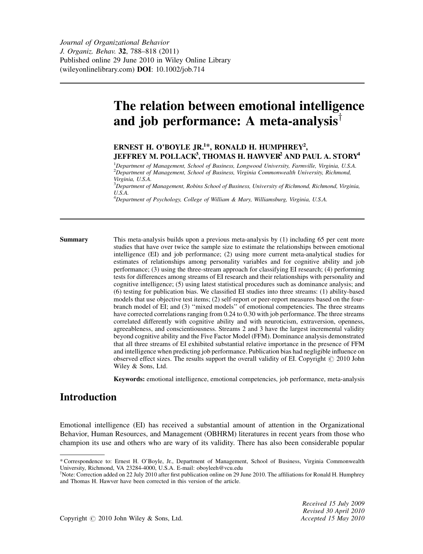Journal of Organizational Behavior J. Organiz. Behav. 32, 788–818 (2011) Published online 29 June 2010 in Wiley Online Library (wileyonlinelibrary.com) DOI: 10.1002/job.714

# The relation between emotional intelligence and job performance: A meta-analysis<sup> $\mathsf{T}$ </sup>

## ERNEST H. O'BOYLE JR. $^{1*}$ , RONALD H. HUMPHREY $^2$ , JEFFREY M. POLLACK<sup>3</sup>, THOMAS H. HAWVER<sup>2</sup> AND PAUL A. STORY<sup>4</sup>

<sup>1</sup>Department of Management, School of Business, Longwood University, Farmville, Virginia, U.S.A. <sup>2</sup>Department of Management, School of Business, Virginia Commonwealth University, Richmond, Virginia, U.S.A.

 $^3$ Department of Management, Robins School of Business, University of Richmond, Richmond, Virginia, U.S.A.

 ${}^{4}$ Department of Psychology, College of William & Mary, Williamsburg, Virginia, U.S.A.

Summary This meta-analysis builds upon a previous meta-analysis by (1) including 65 per cent more studies that have over twice the sample size to estimate the relationships between emotional intelligence (EI) and job performance; (2) using more current meta-analytical studies for estimates of relationships among personality variables and for cognitive ability and job performance; (3) using the three-stream approach for classifying EI research; (4) performing tests for differences among streams of EI research and their relationships with personality and cognitive intelligence; (5) using latest statistical procedures such as dominance analysis; and (6) testing for publication bias. We classified EI studies into three streams: (1) ability-based models that use objective test items; (2) self-report or peer-report measures based on the fourbranch model of EI; and (3) ''mixed models'' of emotional competencies. The three streams have corrected correlations ranging from 0.24 to 0.30 with job performance. The three streams correlated differently with cognitive ability and with neuroticism, extraversion, openness, agreeableness, and conscientiousness. Streams 2 and 3 have the largest incremental validity beyond cognitive ability and the Five Factor Model (FFM). Dominance analysis demonstrated that all three streams of EI exhibited substantial relative importance in the presence of FFM and intelligence when predicting job performance. Publication bias had negligible influence on observed effect sizes. The results support the overall validity of EI. Copyright  $\oslash$  2010 John Wiley & Sons, Ltd.

Keywords: emotional intelligence, emotional competencies, job performance, meta-analysis

## Introduction

Emotional intelligence (EI) has received a substantial amount of attention in the Organizational Behavior, Human Resources, and Management (OBHRM) literatures in recent years from those who champion its use and others who are wary of its validity. There has also been considerable popular

<sup>\*</sup> Correspondence to: Ernest H. O'Boyle, Jr., Department of Management, School of Business, Virginia Commonwealth University, Richmond, VA 23284-4000, U.S.A. E-mail: oboyleeh@vcu.edu

<sup>&</sup>lt;sup>†</sup>Note: Correction added on 22 July 2010 after first publication online on 29 June 2010. The affiliations for Ronald H. Humphrey and Thomas H. Hawver have been corrected in this version of the article.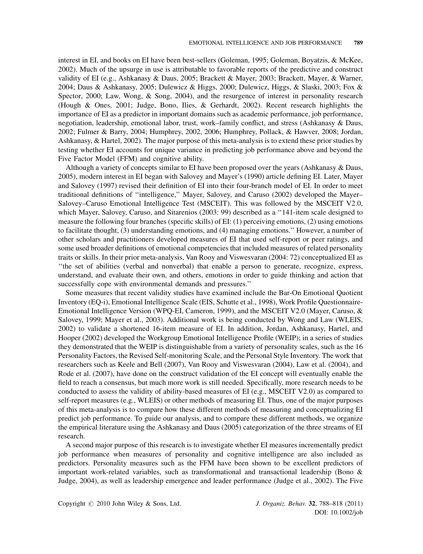interest in EI, and books on EI have been best-sellers (Goleman, 1995; Goleman, Boyatzis, & McKee, 2002). Much of the upsurge in use is attributable to favorable reports of the predictive and construct validity of EI (e.g., Ashkanasy & Daus, 2005; Brackett & Mayer, 2003; Brackett, Mayer, & Warner, 2004; Daus & Ashkanasy, 2005; Dulewicz & Higgs, 2000; Dulewicz, Higgs, & Slaski, 2003; Fox & Spector, 2000; Law, Wong, & Song, 2004), and the resurgence of interest in personality research (Hough & Ones, 2001; Judge, Bono, Ilies, & Gerhardt, 2002). Recent research highlights the importance of EI as a predictor in important domains such as academic performance, job performance, negotiation, leadership, emotional labor, trust, work–family conflict, and stress (Ashkanasy & Daus, 2002; Fulmer & Barry, 2004; Humphrey, 2002, 2006; Humphrey, Pollack, & Hawver, 2008; Jordan, Ashkanasy, & Hartel, 2002). The major purpose of this meta-analysis is to extend these prior studies by testing whether EI accounts for unique variance in predicting job performance above and beyond the Five Factor Model (FFM) and cognitive ability.

Although a variety of concepts similar to EI have been proposed over the years (Ashkanasy & Daus, 2005), modern interest in EI began with Salovey and Mayer's (1990) article defining EI. Later, Mayer and Salovey (1997) revised their definition of EI into their four-branch model of EI. In order to meet traditional definitions of ''intelligence,'' Mayer, Salovey, and Caruso (2002) developed the Mayer– Salovey–Caruso Emotional Intelligence Test (MSCEIT). This was followed by the MSCEIT V2.0, which Mayer, Salovey, Caruso, and Sitarenios (2003: 99) described as a ''141-item scale designed to measure the following four branches (specific skills) of EI: (1) perceiving emotions, (2) using emotions to facilitate thought, (3) understanding emotions, and (4) managing emotions.'' However, a number of other scholars and practitioners developed measures of EI that used self-report or peer ratings, and some used broader definitions of emotional competencies that included measures of related personality traits or skills. In their prior meta-analysis, Van Rooy and Viswesvaran (2004: 72) conceptualized EI as ''the set of abilities (verbal and nonverbal) that enable a person to generate, recognize, express, understand, and evaluate their own, and others, emotions in order to guide thinking and action that successfully cope with environmental demands and pressures.''

Some measures that recent validity studies have examined include the Bar-On Emotional Quotient Inventory (EQ-i), Emotional Intelligence Scale (EIS, Schutte et al., 1998), Work Profile Questionnaire-Emotional Intelligence Version (WPQ-EI, Cameron, 1999), and the MSCEIT V2.0 (Mayer, Caruso, & Salovey, 1999; Mayer et al., 2003). Additional work is being conducted by Wong and Law (WLEIS, 2002) to validate a shortened 16-item measure of EI. In addition, Jordan, Ashkanasy, Hartel, and Hooper (2002) developed the Workgroup Emotional Intelligence Profile (WEIP); in a series of studies they demonstrated that the WEIP is distinguishable from a variety of personality scales, such as the 16 Personality Factors, the Revised Self-monitoring Scale, and the Personal Style Inventory. The work that researchers such as Keele and Bell (2007), Van Rooy and Viswesvaran (2004), Law et al. (2004), and Rode et al. (2007), have done on the construct validation of the EI concept will eventually enable the field to reach a consensus, but much more work is still needed. Specifically, more research needs to be conducted to assess the validity of ability-based measures of EI (e.g., MSCEIT V2.0) as compared to self-report measures (e.g., WLEIS) or other methods of measuring EI. Thus, one of the major purposes of this meta-analysis is to compare how these different methods of measuring and conceptualizing EI predict job performance. To guide our analysis, and to compare these different methods, we organize the empirical literature using the Ashkanasy and Daus (2005) categorization of the three streams of EI research.

A second major purpose of this research is to investigate whether EI measures incrementally predict job performance when measures of personality and cognitive intelligence are also included as predictors. Personality measures such as the FFM have been shown to be excellent predictors of important work-related variables, such as transformational and transactional leadership (Bono & Judge, 2004), as well as leadership emergence and leader performance (Judge et al., 2002). The Five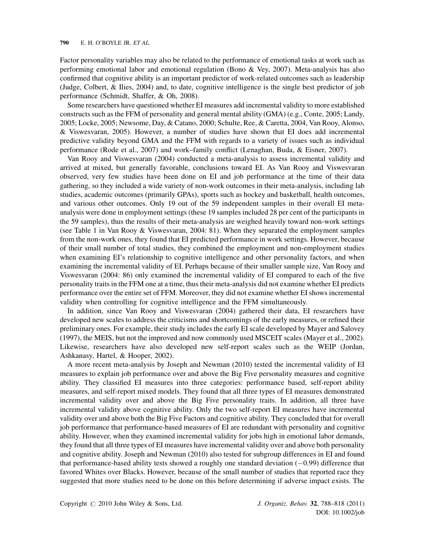Factor personality variables may also be related to the performance of emotional tasks at work such as performing emotional labor and emotional regulation (Bono & Vey, 2007). Meta-analysis has also confirmed that cognitive ability is an important predictor of work-related outcomes such as leadership (Judge, Colbert, & Ilies, 2004) and, to date, cognitive intelligence is the single best predictor of job performance (Schmidt, Shaffer, & Oh, 2008).

Some researchers have questioned whether EI measures add incremental validity to more established constructs such as the FFM of personality and general mental ability (GMA) (e.g., Conte, 2005; Landy, 2005; Locke, 2005; Newsome, Day, & Catano, 2000; Schulte, Ree, & Caretta, 2004, Van Rooy, Alonso, & Viswesvaran, 2005). However, a number of studies have shown that EI does add incremental predictive validity beyond GMA and the FFM with regards to a variety of issues such as individual performance (Rode et al., 2007) and work–family conflict (Lenaghan, Buda, & Eisner, 2007).

Van Rooy and Viswesvaran (2004) conducted a meta-analysis to assess incremental validity and arrived at mixed, but generally favorable, conclusions toward EI. As Van Rooy and Viswesvaran observed, very few studies have been done on EI and job performance at the time of their data gathering, so they included a wide variety of non-work outcomes in their meta-analysis, including lab studies, academic outcomes (primarily GPAs), sports such as hockey and basketball, health outcomes, and various other outcomes. Only 19 out of the 59 independent samples in their overall EI metaanalysis were done in employment settings (these 19 samples included 28 per cent of the participants in the 59 samples), thus the results of their meta-analysis are weighed heavily toward non-work settings (see Table 1 in Van Rooy & Viswesvaran, 2004: 81). When they separated the employment samples from the non-work ones, they found that EI predicted performance in work settings. However, because of their small number of total studies, they combined the employment and non-employment studies when examining EI's relationship to cognitive intelligence and other personality factors, and when examining the incremental validity of EI. Perhaps because of their smaller sample size, Van Rooy and Viswesvaran (2004: 86) only examined the incremental validity of EI compared to each of the five personality traits in the FFM one at a time, thus their meta-analysis did not examine whether EI predicts performance over the entire set of FFM. Moreover, they did not examine whether EI shows incremental validity when controlling for cognitive intelligence and the FFM simultaneously.

In addition, since Van Rooy and Viswesvaran (2004) gathered their data, EI researchers have developed new scales to address the criticisms and shortcomings of the early measures, or refined their preliminary ones. For example, their study includes the early EI scale developed by Mayer and Salovey (1997), the MEIS, but not the improved and now commonly used MSCEIT scales (Mayer et al., 2002). Likewise, researchers have also developed new self-report scales such as the WEIP (Jordan, Ashkanasy, Hartel, & Hooper, 2002).

A more recent meta-analysis by Joseph and Newman (2010) tested the incremental validity of EI measures to explain job performance over and above the Big Five personality measures and cognitive ability. They classified EI measures into three categories: performance based, self-report ability measures, and self-report mixed models. They found that all three types of EI measures demonstrated incremental validity over and above the Big Five personality traits. In addition, all three have incremental validity above cognitive ability. Only the two self-report EI measures have incremental validity over and above both the Big Five Factors and cognitive ability. They concluded that for overall job performance that performance-based measures of EI are redundant with personality and cognitive ability. However, when they examined incremental validity for jobs high in emotional labor demands, they found that all three types of EI measures have incremental validity over and above both personality and cognitive ability. Joseph and Newman (2010) also tested for subgroup differences in EI and found that performance-based ability tests showed a roughly one standard deviation  $(-0.99)$  difference that favored Whites over Blacks. However, because of the small number of studies that reported race they suggested that more studies need to be done on this before determining if adverse impact exists. The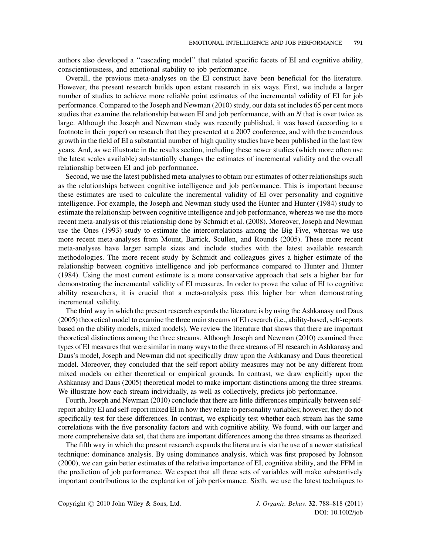authors also developed a ''cascading model'' that related specific facets of EI and cognitive ability, conscientiousness, and emotional stability to job performance.

Overall, the previous meta-analyses on the EI construct have been beneficial for the literature. However, the present research builds upon extant research in six ways. First, we include a larger number of studies to achieve more reliable point estimates of the incremental validity of EI for job performance. Compared to the Joseph and Newman (2010) study, our data set includes 65 per cent more studies that examine the relationship between EI and job performance, with an  $N$  that is over twice as large. Although the Joseph and Newman study was recently published, it was based (according to a footnote in their paper) on research that they presented at a 2007 conference, and with the tremendous growth in the field of EI a substantial number of high quality studies have been published in the last few years. And, as we illustrate in the results section, including these newer studies (which more often use the latest scales available) substantially changes the estimates of incremental validity and the overall relationship between EI and job performance.

Second, we use the latest published meta-analyses to obtain our estimates of other relationships such as the relationships between cognitive intelligence and job performance. This is important because these estimates are used to calculate the incremental validity of EI over personality and cognitive intelligence. For example, the Joseph and Newman study used the Hunter and Hunter (1984) study to estimate the relationship between cognitive intelligence and job performance, whereas we use the more recent meta-analysis of this relationship done by Schmidt et al. (2008). Moreover, Joseph and Newman use the Ones (1993) study to estimate the intercorrelations among the Big Five, whereas we use more recent meta-analyses from Mount, Barrick, Scullen, and Rounds (2005). These more recent meta-analyses have larger sample sizes and include studies with the latest available research methodologies. The more recent study by Schmidt and colleagues gives a higher estimate of the relationship between cognitive intelligence and job performance compared to Hunter and Hunter (1984). Using the most current estimate is a more conservative approach that sets a higher bar for demonstrating the incremental validity of EI measures. In order to prove the value of EI to cognitive ability researchers, it is crucial that a meta-analysis pass this higher bar when demonstrating incremental validity.

The third way in which the present research expands the literature is by using the Ashkanasy and Daus (2005) theoretical model to examine the three main streams of EI research (i.e., ability-based, self-reports based on the ability models, mixed models). We review the literature that shows that there are important theoretical distinctions among the three streams. Although Joseph and Newman (2010) examined three types of EI measures that were similar in many ways to the three streams of EI research in Ashkanasy and Daus's model, Joseph and Newman did not specifically draw upon the Ashkanasy and Daus theoretical model. Moreover, they concluded that the self-report ability measures may not be any different from mixed models on either theoretical or empirical grounds. In contrast, we draw explicitly upon the Ashkanasy and Daus (2005) theoretical model to make important distinctions among the three streams. We illustrate how each stream individually, as well as collectively, predicts job performance.

Fourth, Joseph and Newman (2010) conclude that there are little differences empirically between selfreport ability EI and self-report mixed EI in how they relate to personality variables; however, they do not specifically test for these differences. In contrast, we explicitly test whether each stream has the same correlations with the five personality factors and with cognitive ability. We found, with our larger and more comprehensive data set, that there are important differences among the three streams as theorized.

The fifth way in which the present research expands the literature is via the use of a newer statistical technique: dominance analysis. By using dominance analysis, which was first proposed by Johnson (2000), we can gain better estimates of the relative importance of EI, cognitive ability, and the FFM in the prediction of job performance. We expect that all three sets of variables will make substantively important contributions to the explanation of job performance. Sixth, we use the latest techniques to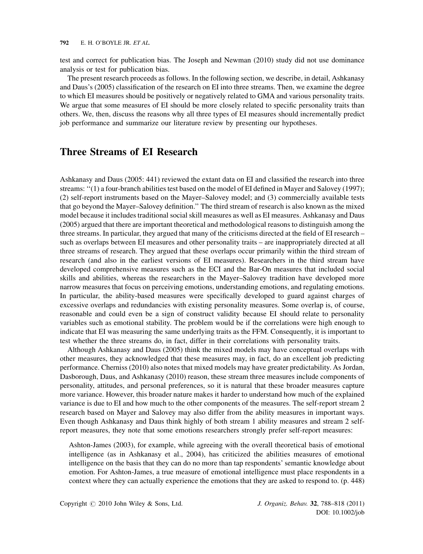test and correct for publication bias. The Joseph and Newman (2010) study did not use dominance analysis or test for publication bias.

The present research proceeds as follows. In the following section, we describe, in detail, Ashkanasy and Daus's (2005) classification of the research on EI into three streams. Then, we examine the degree to which EI measures should be positively or negatively related to GMA and various personality traits. We argue that some measures of EI should be more closely related to specific personality traits than others. We, then, discuss the reasons why all three types of EI measures should incrementally predict job performance and summarize our literature review by presenting our hypotheses.

## Three Streams of EI Research

Ashkanasy and Daus (2005: 441) reviewed the extant data on EI and classified the research into three streams: "(1) a four-branch abilities test based on the model of EI defined in Mayer and Salovey (1997); (2) self-report instruments based on the Mayer–Salovey model; and (3) commercially available tests that go beyond the Mayer–Salovey definition.'' The third stream of research is also known as the mixed model because it includes traditional social skill measures as well as EI measures. Ashkanasy and Daus (2005) argued that there are important theoretical and methodological reasons to distinguish among the three streams. In particular, they argued that many of the criticisms directed at the field of EI research – such as overlaps between EI measures and other personality traits – are inappropriately directed at all three streams of research. They argued that these overlaps occur primarily within the third stream of research (and also in the earliest versions of EI measures). Researchers in the third stream have developed comprehensive measures such as the ECI and the Bar-On measures that included social skills and abilities, whereas the researchers in the Mayer–Salovey tradition have developed more narrow measures that focus on perceiving emotions, understanding emotions, and regulating emotions. In particular, the ability-based measures were specifically developed to guard against charges of excessive overlaps and redundancies with existing personality measures. Some overlap is, of course, reasonable and could even be a sign of construct validity because EI should relate to personality variables such as emotional stability. The problem would be if the correlations were high enough to indicate that EI was measuring the same underlying traits as the FFM. Consequently, it is important to test whether the three streams do, in fact, differ in their correlations with personality traits.

Although Ashkanasy and Daus (2005) think the mixed models may have conceptual overlaps with other measures, they acknowledged that these measures may, in fact, do an excellent job predicting performance. Cherniss (2010) also notes that mixed models may have greater predictability. As Jordan, Dasborough, Daus, and Ashkanasy (2010) reason, these stream three measures include components of personality, attitudes, and personal preferences, so it is natural that these broader measures capture more variance. However, this broader nature makes it harder to understand how much of the explained variance is due to EI and how much to the other components of the measures. The self-report stream 2 research based on Mayer and Salovey may also differ from the ability measures in important ways. Even though Ashkanasy and Daus think highly of both stream 1 ability measures and stream 2 selfreport measures, they note that some emotions researchers strongly prefer self-report measures:

Ashton-James (2003), for example, while agreeing with the overall theoretical basis of emotional intelligence (as in Ashkanasy et al., 2004), has criticized the abilities measures of emotional intelligence on the basis that they can do no more than tap respondents' semantic knowledge about emotion. For Ashton-James, a true measure of emotional intelligence must place respondents in a context where they can actually experience the emotions that they are asked to respond to. (p. 448)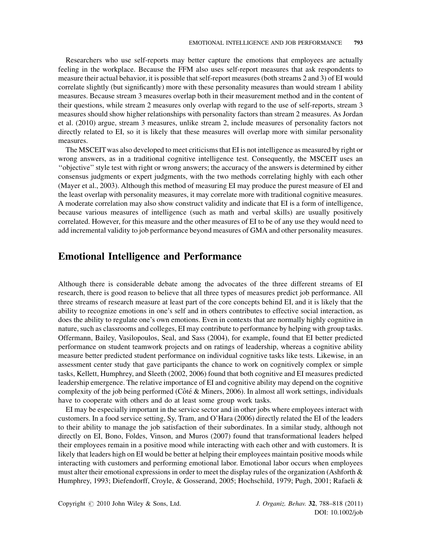Researchers who use self-reports may better capture the emotions that employees are actually feeling in the workplace. Because the FFM also uses self-report measures that ask respondents to measure their actual behavior, it is possible that self-report measures (both streams 2 and 3) of EI would correlate slightly (but significantly) more with these personality measures than would stream 1 ability measures. Because stream 3 measures overlap both in their measurement method and in the content of their questions, while stream 2 measures only overlap with regard to the use of self-reports, stream 3 measures should show higher relationships with personality factors than stream 2 measures. As Jordan et al. (2010) argue, stream 3 measures, unlike stream 2, include measures of personality factors not directly related to EI, so it is likely that these measures will overlap more with similar personality measures.

The MSCEITwas also developed to meet criticisms that EI is not intelligence as measured by right or wrong answers, as in a traditional cognitive intelligence test. Consequently, the MSCEIT uses an ''objective'' style test with right or wrong answers; the accuracy of the answers is determined by either consensus judgments or expert judgments, with the two methods correlating highly with each other (Mayer et al., 2003). Although this method of measuring EI may produce the purest measure of EI and the least overlap with personality measures, it may correlate more with traditional cognitive measures. A moderate correlation may also show construct validity and indicate that EI is a form of intelligence, because various measures of intelligence (such as math and verbal skills) are usually positively correlated. However, for this measure and the other measures of EI to be of any use they would need to add incremental validity to job performance beyond measures of GMA and other personality measures.

## Emotional Intelligence and Performance

Although there is considerable debate among the advocates of the three different streams of EI research, there is good reason to believe that all three types of measures predict job performance. All three streams of research measure at least part of the core concepts behind EI, and it is likely that the ability to recognize emotions in one's self and in others contributes to effective social interaction, as does the ability to regulate one's own emotions. Even in contexts that are normally highly cognitive in nature, such as classrooms and colleges, EI may contribute to performance by helping with group tasks. Offermann, Bailey, Vasilopoulos, Seal, and Sass (2004), for example, found that EI better predicted performance on student teamwork projects and on ratings of leadership, whereas a cognitive ability measure better predicted student performance on individual cognitive tasks like tests. Likewise, in an assessment center study that gave participants the chance to work on cognitively complex or simple tasks, Kellett, Humphrey, and Sleeth (2002, 2006) found that both cognitive and EI measures predicted leadership emergence. The relative importance of EI and cognitive ability may depend on the cognitive complexity of the job being performed (Côté & Miners, 2006). In almost all work settings, individuals have to cooperate with others and do at least some group work tasks.

EI may be especially important in the service sector and in other jobs where employees interact with customers. In a food service setting, Sy, Tram, and O'Hara (2006) directly related the EI of the leaders to their ability to manage the job satisfaction of their subordinates. In a similar study, although not directly on EI, Bono, Foldes, Vinson, and Muros (2007) found that transformational leaders helped their employees remain in a positive mood while interacting with each other and with customers. It is likely that leaders high on EI would be better at helping their employees maintain positive moods while interacting with customers and performing emotional labor. Emotional labor occurs when employees must alter their emotional expressions in order to meet the display rules of the organization (Ashforth & Humphrey, 1993; Diefendorff, Croyle, & Gosserand, 2005; Hochschild, 1979; Pugh, 2001; Rafaeli &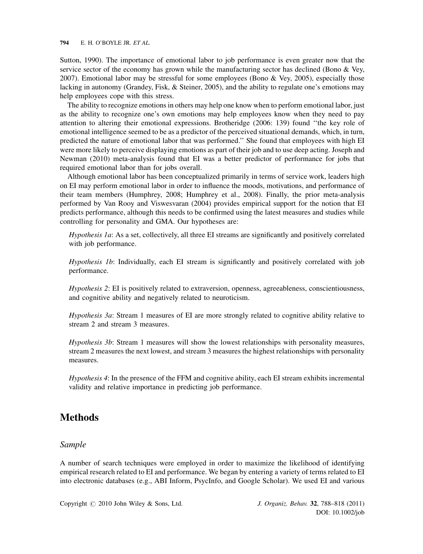Sutton, 1990). The importance of emotional labor to job performance is even greater now that the service sector of the economy has grown while the manufacturing sector has declined (Bono & Vey, 2007). Emotional labor may be stressful for some employees (Bono  $\&$  Vey, 2005), especially those lacking in autonomy (Grandey, Fisk, & Steiner, 2005), and the ability to regulate one's emotions may help employees cope with this stress.

The ability to recognize emotions in others may help one know when to perform emotional labor, just as the ability to recognize one's own emotions may help employees know when they need to pay attention to altering their emotional expressions. Brotheridge (2006: 139) found ''the key role of emotional intelligence seemed to be as a predictor of the perceived situational demands, which, in turn, predicted the nature of emotional labor that was performed.'' She found that employees with high EI were more likely to perceive displaying emotions as part of their job and to use deep acting. Joseph and Newman (2010) meta-analysis found that EI was a better predictor of performance for jobs that required emotional labor than for jobs overall.

Although emotional labor has been conceptualized primarily in terms of service work, leaders high on EI may perform emotional labor in order to influence the moods, motivations, and performance of their team members (Humphrey, 2008; Humphrey et al., 2008). Finally, the prior meta-analysis performed by Van Rooy and Viswesvaran (2004) provides empirical support for the notion that EI predicts performance, although this needs to be confirmed using the latest measures and studies while controlling for personality and GMA. Our hypotheses are:

Hypothesis 1a: As a set, collectively, all three EI streams are significantly and positively correlated with job performance.

Hypothesis 1b: Individually, each EI stream is significantly and positively correlated with job performance.

Hypothesis 2: EI is positively related to extraversion, openness, agreeableness, conscientiousness, and cognitive ability and negatively related to neuroticism.

Hypothesis 3a: Stream 1 measures of EI are more strongly related to cognitive ability relative to stream 2 and stream 3 measures.

Hypothesis 3b: Stream 1 measures will show the lowest relationships with personality measures, stream 2 measures the next lowest, and stream 3 measures the highest relationships with personality measures.

Hypothesis 4: In the presence of the FFM and cognitive ability, each EI stream exhibits incremental validity and relative importance in predicting job performance.

## Methods

### Sample

A number of search techniques were employed in order to maximize the likelihood of identifying empirical research related to EI and performance. We began by entering a variety of terms related to EI into electronic databases (e.g., ABI Inform, PsycInfo, and Google Scholar). We used EI and various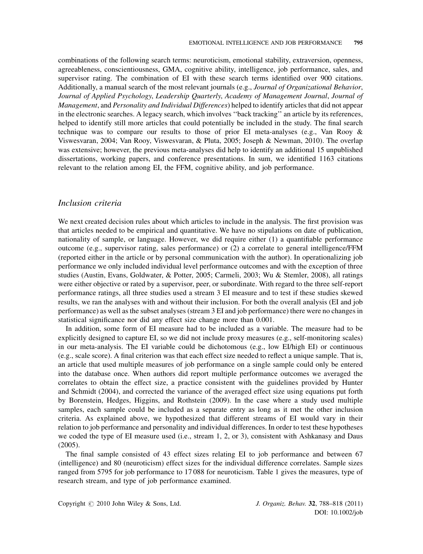combinations of the following search terms: neuroticism, emotional stability, extraversion, openness, agreeableness, conscientiousness, GMA, cognitive ability, intelligence, job performance, sales, and supervisor rating. The combination of EI with these search terms identified over 900 citations. Additionally, a manual search of the most relevant journals (e.g., Journal of Organizational Behavior, Journal of Applied Psychology, Leadership Quarterly, Academy of Management Journal, Journal of Management, and Personality and Individual Differences) helped to identify articles that did not appear in the electronic searches. A legacy search, which involves ''back tracking'' an article by its references, helped to identify still more articles that could potentially be included in the study. The final search technique was to compare our results to those of prior EI meta-analyses (e.g., Van Rooy & Viswesvaran, 2004; Van Rooy, Viswesvaran, & Pluta, 2005; Joseph & Newman, 2010). The overlap was extensive; however, the previous meta-analyses did help to identify an additional 15 unpublished dissertations, working papers, and conference presentations. In sum, we identified 1163 citations relevant to the relation among EI, the FFM, cognitive ability, and job performance.

### Inclusion criteria

We next created decision rules about which articles to include in the analysis. The first provision was that articles needed to be empirical and quantitative. We have no stipulations on date of publication, nationality of sample, or language. However, we did require either (1) a quantifiable performance outcome (e.g., supervisor rating, sales performance) or (2) a correlate to general intelligence/FFM (reported either in the article or by personal communication with the author). In operationalizing job performance we only included individual level performance outcomes and with the exception of three studies (Austin, Evans, Goldwater, & Potter, 2005; Carmeli, 2003; Wu & Stemler, 2008), all ratings were either objective or rated by a supervisor, peer, or subordinate. With regard to the three self-report performance ratings, all three studies used a stream 3 EI measure and to test if these studies skewed results, we ran the analyses with and without their inclusion. For both the overall analysis (EI and job performance) as well as the subset analyses (stream 3 EI and job performance) there were no changes in statistical significance nor did any effect size change more than 0.001.

In addition, some form of EI measure had to be included as a variable. The measure had to be explicitly designed to capture EI, so we did not include proxy measures (e.g., self-monitoring scales) in our meta-analysis. The EI variable could be dichotomous (e.g., low EI/high EI) or continuous (e.g., scale score). A final criterion was that each effect size needed to reflect a unique sample. That is, an article that used multiple measures of job performance on a single sample could only be entered into the database once. When authors did report multiple performance outcomes we averaged the correlates to obtain the effect size, a practice consistent with the guidelines provided by Hunter and Schmidt (2004), and corrected the variance of the averaged effect size using equations put forth by Borenstein, Hedges, Higgins, and Rothstein (2009). In the case where a study used multiple samples, each sample could be included as a separate entry as long as it met the other inclusion criteria. As explained above, we hypothesized that different streams of EI would vary in their relation to job performance and personality and individual differences. In order to test these hypotheses we coded the type of EI measure used (i.e., stream 1, 2, or 3), consistent with Ashkanasy and Daus (2005).

The final sample consisted of 43 effect sizes relating EI to job performance and between 67 (intelligence) and 80 (neuroticism) effect sizes for the individual difference correlates. Sample sizes ranged from 5795 for job performance to 17 088 for neuroticism. Table 1 gives the measures, type of research stream, and type of job performance examined.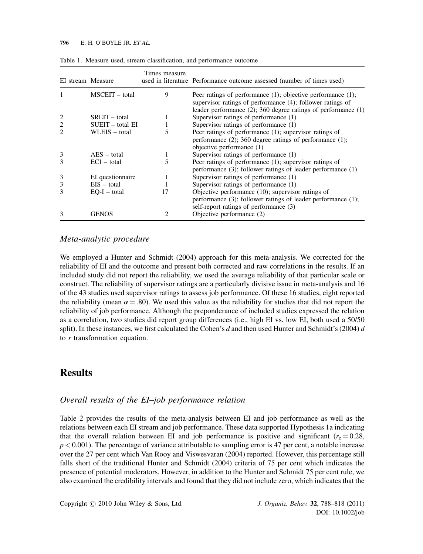| EI stream Measure |                  | Times measure | used in literature Performance outcome assessed (number of times used)                                                                                                                                |
|-------------------|------------------|---------------|-------------------------------------------------------------------------------------------------------------------------------------------------------------------------------------------------------|
|                   | MSCEIT - total   | 9             | Peer ratings of performance $(1)$ ; objective performance $(1)$ ;<br>supervisor ratings of performance (4); follower ratings of<br>leader performance $(2)$ ; 360 degree ratings of performance $(1)$ |
| 2                 | SREIT – total    | 1             | Supervisor ratings of performance (1)                                                                                                                                                                 |
| 2                 | SUEIT – total EI | 1             | Supervisor ratings of performance (1)                                                                                                                                                                 |
| 2                 | WLEIS – total    | 5             | Peer ratings of performance (1); supervisor ratings of<br>performance (2); 360 degree ratings of performance (1);<br>objective performance (1)                                                        |
| 3                 | $AES - total$    | 1             | Supervisor ratings of performance (1)                                                                                                                                                                 |
| 3                 | $ECI - total$    | 5             | Peer ratings of performance (1); supervisor ratings of<br>performance $(3)$ ; follower ratings of leader performance $(1)$                                                                            |
| 3                 | EI questionnaire | 1             | Supervisor ratings of performance (1)                                                                                                                                                                 |
| 3                 | $EIS - total$    |               | Supervisor ratings of performance (1)                                                                                                                                                                 |
|                   | $EQ-I - total$   | 17            | Objective performance (10); supervisor ratings of<br>performance $(3)$ ; follower ratings of leader performance $(1)$ ;<br>self-report ratings of performance (3)                                     |
| 3                 | GENOS            |               | Objective performance (2)                                                                                                                                                                             |

Table 1. Measure used, stream classification, and performance outcome

## Meta-analytic procedure

We employed a Hunter and Schmidt (2004) approach for this meta-analysis. We corrected for the reliability of EI and the outcome and present both corrected and raw correlations in the results. If an included study did not report the reliability, we used the average reliability of that particular scale or construct. The reliability of supervisor ratings are a particularly divisive issue in meta-analysis and 16 of the 43 studies used supervisor ratings to assess job performance. Of these 16 studies, eight reported the reliability (mean  $\alpha = .80$ ). We used this value as the reliability for studies that did not report the reliability of job performance. Although the preponderance of included studies expressed the relation as a correlation, two studies did report group differences (i.e., high EI vs. low EI, both used a 50/50 split). In these instances, we first calculated the Cohen's d and then used Hunter and Schmidt's (2004)  $d$ to r transformation equation.

## Results

## Overall results of the EI–job performance relation

Table 2 provides the results of the meta-analysis between EI and job performance as well as the relations between each EI stream and job performance. These data supported Hypothesis 1a indicating that the overall relation between EI and job performance is positive and significant  $(r_c = 0.28$ ,  $p < 0.001$ ). The percentage of variance attributable to sampling error is 47 per cent, a notable increase over the 27 per cent which Van Rooy and Viswesvaran (2004) reported. However, this percentage still falls short of the traditional Hunter and Schmidt (2004) criteria of 75 per cent which indicates the presence of potential moderators. However, in addition to the Hunter and Schmidt 75 per cent rule, we also examined the credibility intervals and found that they did not include zero, which indicates that the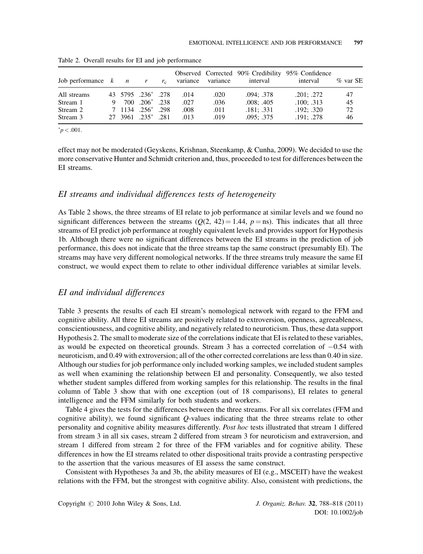| Job performance $k$ n r |     |                    | $r_{\rm c}$ | variance | variance | interval   | Observed Corrected 90% Credibility 95% Confidence<br>interval | $\%$ var SE |
|-------------------------|-----|--------------------|-------------|----------|----------|------------|---------------------------------------------------------------|-------------|
| All streams             |     | 43 5795 .236* .278 |             | .014     | .020     | .094: .378 | .201: .272                                                    | 47          |
| Stream 1                | 700 | $.206^*$ .238      |             | .027     | .036     | .008: .405 | .100: .313                                                    | 45          |
| Stream 2                |     | 7 1134 .256* .298  |             | .008     | .011     | .181: .331 | .192: .320                                                    | 72          |
| Stream 3                |     | 27 3961 .235* .281 |             | .013     | .019     | .095: .375 | .191: .278                                                    | 46          |

Table 2. Overall results for EI and job performance

 $p < .001$ .

effect may not be moderated (Geyskens, Krishnan, Steenkamp, & Cunha, 2009). We decided to use the more conservative Hunter and Schmidt criterion and, thus, proceeded to test for differences between the EI streams.

## EI streams and individual differences tests of heterogeneity

As Table 2 shows, the three streams of EI relate to job performance at similar levels and we found no significant differences between the streams  $(Q(2, 42) = 1.44, p = \text{ns})$ . This indicates that all three streams of EI predict job performance at roughly equivalent levels and provides support for Hypothesis 1b. Although there were no significant differences between the EI streams in the prediction of job performance, this does not indicate that the three streams tap the same construct (presumably EI). The streams may have very different nomological networks. If the three streams truly measure the same EI construct, we would expect them to relate to other individual difference variables at similar levels.

## EI and individual differences

Table 3 presents the results of each EI stream's nomological network with regard to the FFM and cognitive ability. All three EI streams are positively related to extroversion, openness, agreeableness, conscientiousness, and cognitive ability, and negatively related to neuroticism. Thus, these data support Hypothesis 2. The small to moderate size of the correlations indicate that EI is related to these variables, as would be expected on theoretical grounds. Stream 3 has a corrected correlation of  $-0.54$  with neuroticism, and 0.49 with extroversion; all of the other corrected correlations are less than 0.40 in size. Although our studies for job performance only included working samples, we included student samples as well when examining the relationship between EI and personality. Consequently, we also tested whether student samples differed from working samples for this relationship. The results in the final column of Table 3 show that with one exception (out of 18 comparisons), EI relates to general intelligence and the FFM similarly for both students and workers.

Table 4 gives the tests for the differences between the three streams. For all six correlates (FFM and cognitive ability), we found significant  $Q$ -values indicating that the three streams relate to other personality and cognitive ability measures differently. Post hoc tests illustrated that stream 1 differed from stream 3 in all six cases, stream 2 differed from stream 3 for neuroticism and extraversion, and stream 1 differed from stream 2 for three of the FFM variables and for cognitive ability. These differences in how the EI streams related to other dispositional traits provide a contrasting perspective to the assertion that the various measures of EI assess the same construct.

Consistent with Hypotheses 3a and 3b, the ability measures of EI (e.g., MSCEIT) have the weakest relations with the FFM, but the strongest with cognitive ability. Also, consistent with predictions, the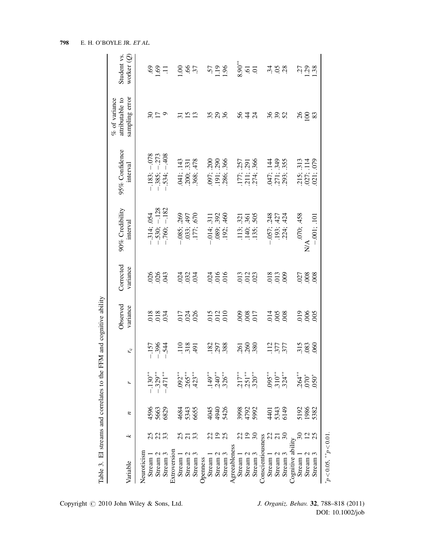| Table 3. EI streams and correlates |                |                      |                      |                  | to the FFM and cognitive ability |                       |                             |                                      |                                                    |                             |
|------------------------------------|----------------|----------------------|----------------------|------------------|----------------------------------|-----------------------|-----------------------------|--------------------------------------|----------------------------------------------------|-----------------------------|
| Variable                           | k              | $\boldsymbol{z}$     | r                    | $r_{\rm c}$      | Observed<br>variance             | Corrected<br>variance | 90% Credibility<br>interval | 95% Confidence<br>interval           | sampling error<br>attributable to<br>% of variance | Student vs.<br>worker $(Q)$ |
| Neuroticism                        |                |                      |                      |                  |                                  |                       |                             |                                      |                                                    |                             |
| Stream                             |                |                      | $-130**$<br>I        | $-157$           | 018                              |                       | $-.314; .054$               | $-0.078$<br>$-183;$                  | $30\,$                                             | Ŝ,                          |
| Stream <sub>2</sub>                | 5533           | 4596<br>5663<br>6829 | $.329**$<br>L        |                  | 018<br>034                       | 883                   | $-.128$<br>$-530$ ;         | $-.273$<br>$-.385;$                  | $\overline{C}$ o                                   | 69.                         |
| Stream <sub>3</sub>                |                |                      | $471**$<br>$\,$ $\,$ | $-396$<br>$-544$ |                                  |                       | $-.182$<br>$-.760;$         | 408<br>$-.534;$                      |                                                    | $\Xi$                       |
| Extroversion                       |                |                      |                      |                  |                                  |                       |                             |                                      |                                                    |                             |
| Stream                             |                |                      | $.092**$             | $\frac{10}{2}$   | 017                              | 024                   | 269<br>$-.085;$             | 041; 143                             | $\overline{31}$                                    | S.                          |
| Stream 2                           | 253            |                      | $.265**$             |                  |                                  |                       | L67<br>$.033$ :             |                                      | $\frac{15}{13}$                                    |                             |
| Stream <sub>3</sub>                |                | 4684<br>5343<br>6655 | $423**$              | 318              | 024<br>026                       | $rac{034}{034}$       | 670<br>.177;                | 478<br>$.200; .331$<br>$.368; .478$  |                                                    | 66                          |
| Openness                           |                |                      |                      |                  |                                  |                       |                             |                                      |                                                    |                             |
| Stream 1                           | 22             | 4045<br>4940<br>5426 | $.149**$             | 182              | 015                              | 024                   | $\overline{311}$<br>$-014;$ | $\overline{200}$                     | 35                                                 | 57                          |
| Stream <sub>2</sub>                | 25             |                      | $.240**$             | 297<br>388       | .012                             | $rac{0.016}{0.016}$   | 392<br>.089;                | <b>290</b><br>$.97$ ; $.191$ ;       | 298                                                | 1.19                        |
| Stream 3                           |                |                      | $.326***$            |                  | 010                              |                       | 460<br>.192;                | 366<br>286;                          |                                                    | 1.96                        |
| Agreeableness                      |                |                      |                      |                  |                                  |                       |                             |                                      |                                                    |                             |
| Stream 1                           |                | 3998<br>4792<br>5992 | $.217**$             | 261              | 600                              | 013                   | .321<br>113;                | .257                                 | 56                                                 | $8.90***$                   |
| Stream 2                           | ≘              |                      | $.251**$             | .260             | .008                             | .012                  | .361<br>.140;               | .291                                 | 44                                                 | ত্                          |
| Stream 3                           | $\mathfrak{S}$ |                      | $.320**$             | .380             | 017                              | 023                   | 505<br>135;                 | 366<br>$177$ ;<br>$211$ ;<br>$274$ ; |                                                    | ā                           |
| Conscientiousness                  |                |                      |                      |                  |                                  |                       |                             |                                      |                                                    |                             |
| Stream                             |                | 45349<br>5343        | $.095**$             | $\frac{112}{11}$ | 014                              | $\frac{018}{013}$     | .057; .248                  | 047; .144<br>271; .349               |                                                    |                             |
| Stream                             | <u>ដូ ។</u> ម  |                      | $.310**$             | 377              | 005                              |                       | .427<br>193;                |                                      | \$82                                               | ಸೆ 8ೆ ಜ                     |
| Stream <sub>3</sub>                |                |                      | $324**$              |                  | 008                              | 009                   | 424<br>.224;                | 355<br>293;                          |                                                    |                             |
| Cognitive abil                     |                |                      |                      |                  |                                  |                       |                             |                                      |                                                    |                             |
| Stream                             | $\mathfrak{S}$ |                      | $.264**$             | 315              | 019                              | 027                   | .070; .458                  | 215; 313<br>027; 114                 | $\delta$                                           | Ľč.                         |
| Stream                             | $\overline{c}$ | 5192<br>1986<br>5382 | $.070*$              | .083             | .006                             | .008                  | Ş                           |                                      | $\overline{0}$                                     | $\overline{29}$             |
| Stream 3                           | 25             |                      | $.050*$              | 60               | $\frac{500}{5}$                  | $\frac{008}{200}$     | $-.001; .101$               | 079<br>.021;                         | 83                                                 | 1.38                        |

 $\overline{\mathbf{r}}$ 

Copyright  $\odot$  2010 John Wiley & Sons, Ltd.

J. Organiz. Behav. 32, 788-818 (2011) DOI: 10.1002/job

 $p < 0.05$ ,  $p < 0.01$ .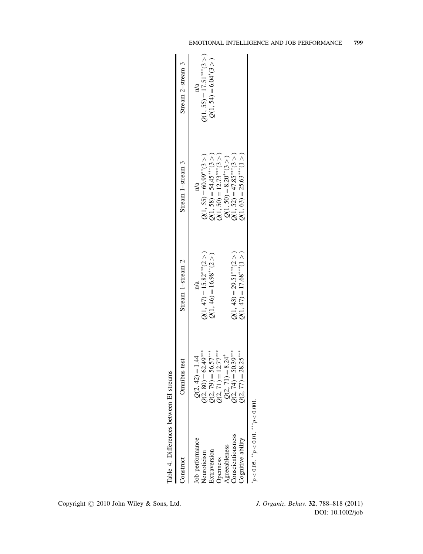| Table 4. Differences between EI str                    | reams                                                            |                                                           |                                                                                                                                                                |                                                             |
|--------------------------------------------------------|------------------------------------------------------------------|-----------------------------------------------------------|----------------------------------------------------------------------------------------------------------------------------------------------------------------|-------------------------------------------------------------|
| Construct                                              | Omnibus test                                                     | Stream 1-stream 2                                         | Stream 1-stream 3                                                                                                                                              | Stream 2-stream 3                                           |
| lob performance                                        | $42) = 1.44$<br>$\widetilde{Q}$ C,                               | n/a                                                       | $\mathbf{a}^{\prime}$                                                                                                                                          | n/a                                                         |
| Jeuroticism                                            | $80 = 62.49***$                                                  |                                                           |                                                                                                                                                                |                                                             |
| xtraversion                                            | $79) = 56.57***$                                                 | $Q(1, 47) = 15.82***$<br>$Q(1, 46) = 16.98***$<br>$(2 >)$ |                                                                                                                                                                | $Q(1, 55) = 17.51^{***}(3 >)$<br>$Q(1, 54) = 6.04^{*}(3 >)$ |
| penness                                                | $71) = 12.77***$                                                 |                                                           |                                                                                                                                                                |                                                             |
| <b>\greeableness</b>                                   | $71) = 8.24*$                                                    |                                                           |                                                                                                                                                                |                                                             |
| <b>Conscientiousness</b>                               | $74) = 50.39***$                                                 |                                                           |                                                                                                                                                                |                                                             |
| Cognitive ability                                      | $77) = 28.25***$<br>8<br>2 7 5 7 7 7<br>8 8 9 9 9 0<br>8 9 9 9 0 | $Q(1, 43) = 29.51***$<br>$Q(1, 47) = 17.68***$<br>$(1 >)$ | $Q(1, 55) = 60.99** (3 >)\nQ(1, 58) = 54.45*** (3 >)\nQ(1, 50) = 12.73*** (3 >)\nQ(1, 50) = 8.20* (3 >)\nQ(1, 52) = 47.85*** (3 >)\nQ(1, 63) = 25.63*** (1 >)$ |                                                             |
| $p < 0.05$ . ${}^{**}p < 0.01$ . ${}^{***}p < 0.001$ . |                                                                  |                                                           |                                                                                                                                                                |                                                             |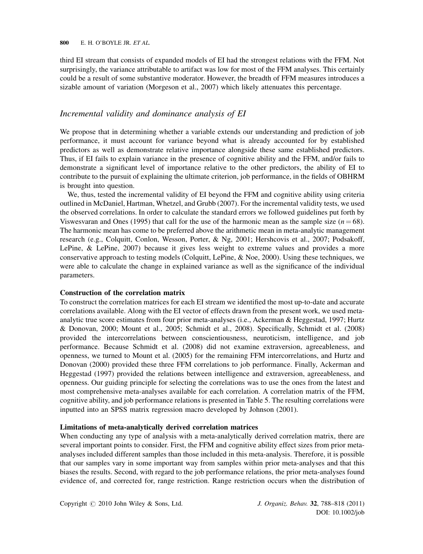#### 800 E. H. O'BOYLE JR. ET AL.

third EI stream that consists of expanded models of EI had the strongest relations with the FFM. Not surprisingly, the variance attributable to artifact was low for most of the FFM analyses. This certainly could be a result of some substantive moderator. However, the breadth of FFM measures introduces a sizable amount of variation (Morgeson et al., 2007) which likely attenuates this percentage.

### Incremental validity and dominance analysis of EI

We propose that in determining whether a variable extends our understanding and prediction of job performance, it must account for variance beyond what is already accounted for by established predictors as well as demonstrate relative importance alongside these same established predictors. Thus, if EI fails to explain variance in the presence of cognitive ability and the FFM, and/or fails to demonstrate a significant level of importance relative to the other predictors, the ability of EI to contribute to the pursuit of explaining the ultimate criterion, job performance, in the fields of OBHRM is brought into question.

We, thus, tested the incremental validity of EI beyond the FFM and cognitive ability using criteria outlined in McDaniel, Hartman, Whetzel, and Grubb (2007). For the incremental validity tests, we used the observed correlations. In order to calculate the standard errors we followed guidelines put forth by Viswesvaran and Ones (1995) that call for the use of the harmonic mean as the sample size  $(n = 68)$ . The harmonic mean has come to be preferred above the arithmetic mean in meta-analytic management research (e.g., Colquitt, Conlon, Wesson, Porter, & Ng, 2001; Hershcovis et al., 2007; Podsakoff, LePine, & LePine, 2007) because it gives less weight to extreme values and provides a more conservative approach to testing models (Colquitt, LePine, & Noe, 2000). Using these techniques, we were able to calculate the change in explained variance as well as the significance of the individual parameters.

#### Construction of the correlation matrix

To construct the correlation matrices for each EI stream we identified the most up-to-date and accurate correlations available. Along with the EI vector of effects drawn from the present work, we used metaanalytic true score estimates from four prior meta-analyses (i.e., Ackerman & Heggestad, 1997; Hurtz & Donovan, 2000; Mount et al., 2005; Schmidt et al., 2008). Specifically, Schmidt et al. (2008) provided the intercorrelations between conscientiousness, neuroticism, intelligence, and job performance. Because Schmidt et al. (2008) did not examine extraversion, agreeableness, and openness, we turned to Mount et al. (2005) for the remaining FFM intercorrelations, and Hurtz and Donovan (2000) provided these three FFM correlations to job performance. Finally, Ackerman and Heggestad (1997) provided the relations between intelligence and extraversion, agreeableness, and openness. Our guiding principle for selecting the correlations was to use the ones from the latest and most comprehensive meta-analyses available for each correlation. A correlation matrix of the FFM, cognitive ability, and job performance relations is presented in Table 5. The resulting correlations were inputted into an SPSS matrix regression macro developed by Johnson (2001).

#### Limitations of meta-analytically derived correlation matrices

When conducting any type of analysis with a meta-analytically derived correlation matrix, there are several important points to consider. First, the FFM and cognitive ability effect sizes from prior metaanalyses included different samples than those included in this meta-analysis. Therefore, it is possible that our samples vary in some important way from samples within prior meta-analyses and that this biases the results. Second, with regard to the job performance relations, the prior meta-analyses found evidence of, and corrected for, range restriction. Range restriction occurs when the distribution of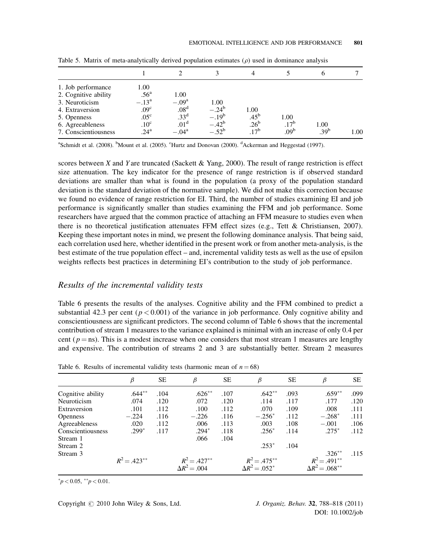| 1. Job performance<br>2. Cognitive ability<br>3. Neuroticism<br>4. Extraversion<br>5. Openness<br>6. Agreeableness<br>7. Conscientiousness | 1.00<br>.56 <sup>a</sup><br>$-.13^{\rm a}$<br>.09 <sup>c</sup><br>$.05^{\circ}$<br>.10 <sup>c</sup><br>.24 <sup>a</sup> | 1.00<br>$-.09a$<br>.08 <sup>d</sup><br>.33 <sup>d</sup><br>.01 <sup>d</sup><br>$-.04^{\rm a}$ | 1.00<br>$-.24^{\rm b}$<br>$-.19^b$<br>$-.42^{\rm b}$<br>$-52^{b}$ | 1.00<br>$.45^{\rm b}$<br>.26 <sup>b</sup><br>$17^{\rm b}$ | 1.00<br>$.17^{b}$<br>.09 <sup>b</sup> | 1.00<br>.39 <sup>b</sup> | 1.00 |
|--------------------------------------------------------------------------------------------------------------------------------------------|-------------------------------------------------------------------------------------------------------------------------|-----------------------------------------------------------------------------------------------|-------------------------------------------------------------------|-----------------------------------------------------------|---------------------------------------|--------------------------|------|

Table 5. Matrix of meta-analytically derived population estimates  $(\rho)$  used in dominance analysis

<sup>a</sup>Schmidt et al. (2008). <sup>b</sup>Mount et al. (2005). <sup>c</sup>Hurtz and Donovan (2000). <sup>d</sup>Ackerman and Heggestad (1997).

scores between X and Y are truncated (Sackett & Yang, 2000). The result of range restriction is effect size attenuation. The key indicator for the presence of range restriction is if observed standard deviations are smaller than what is found in the population (a proxy of the population standard deviation is the standard deviation of the normative sample). We did not make this correction because we found no evidence of range restriction for EI. Third, the number of studies examining EI and job performance is significantly smaller than studies examining the FFM and job performance. Some researchers have argued that the common practice of attaching an FFM measure to studies even when there is no theoretical justification attenuates FFM effect sizes (e.g., Tett & Christiansen, 2007). Keeping these important notes in mind, we present the following dominance analysis. That being said, each correlation used here, whether identified in the present work or from another meta-analysis, is the best estimate of the true population effect – and, incremental validity tests as well as the use of epsilon weights reflects best practices in determining EI's contribution to the study of job performance.

## Results of the incremental validity tests

Table 6 presents the results of the analyses. Cognitive ability and the FFM combined to predict a substantial 42.3 per cent ( $p < 0.001$ ) of the variance in job performance. Only cognitive ability and conscientiousness are significant predictors. The second column of Table 6 shows that the incremental contribution of stream 1 measures to the variance explained is minimal with an increase of only 0.4 per cent ( $p =$ ns). This is a modest increase when one considers that most stream 1 measures are lengthy and expensive. The contribution of streams 2 and 3 are substantially better. Stream 2 measures

|                   | β                 | <b>SE</b> | β                   | <b>SE</b> | β                     | <b>SE</b> | β                          | SE   |
|-------------------|-------------------|-----------|---------------------|-----------|-----------------------|-----------|----------------------------|------|
| Cognitive ability | $.644***$         | .104      | $.626***$           | .107      | $.642**$              | .093      | $.659**$                   | .099 |
| Neuroticism       | .074              | .120      | .072                | .120      | .114                  | .117      | .177                       | .120 |
| Extraversion      | .101              | .112      | .100                | .112      | .070                  | .109      | .008                       | .111 |
| <b>Openness</b>   | $-.224$           | .116      | $-.226$             | .116      | $-.256*$              | .112      | $-.268*$                   | .111 |
| Agreeableness     | .020              | .112      | .006                | .113      | .003                  | .108      | $-.001$                    | .106 |
| Conscientiousness | $.299*$           | .117      | $.294*$             | .118      | $.256*$               | .114      | $.275*$                    | .112 |
| Stream 1          |                   |           | .066                | .104      |                       |           |                            |      |
| Stream 2          |                   |           |                     |           | $.253*$               | .104      |                            |      |
| Stream 3          |                   |           |                     |           |                       |           | $.326***$                  | .115 |
|                   | $R^2 = .423^{**}$ |           | $R^2 = .427^{**}$   |           | $R^2 = .475^{**}$     |           | $R^2$ = .491 <sup>**</sup> |      |
|                   |                   |           | $\Delta R^2 = .004$ |           | $\Delta R^2 = .052^*$ |           | $\Delta R^2 = .068^{**}$   |      |

Table 6. Results of incremental validity tests (harmonic mean of  $n = 68$ )

 $p < 0.05, r>p < 0.01.$ 

Copyright  $\odot$  2010 John Wiley & Sons, Ltd. J. Organiz. Behav. 32, 788–818 (2011)

DOI: 10.1002/job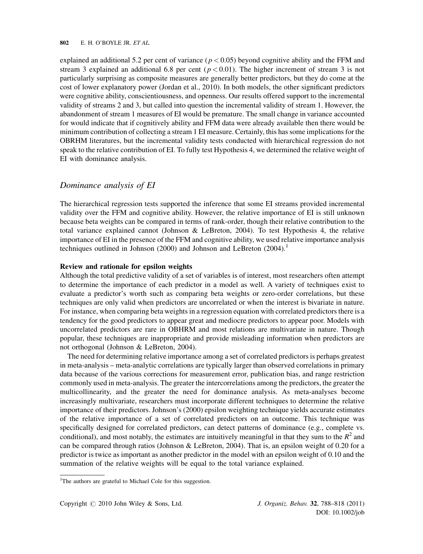#### 802 E. H. O'BOYLE JR. ET AL.

explained an additional 5.2 per cent of variance ( $p < 0.05$ ) beyond cognitive ability and the FFM and stream 3 explained an additional 6.8 per cent ( $p < 0.01$ ). The higher increment of stream 3 is not particularly surprising as composite measures are generally better predictors, but they do come at the cost of lower explanatory power (Jordan et al., 2010). In both models, the other significant predictors were cognitive ability, conscientiousness, and openness. Our results offered support to the incremental validity of streams 2 and 3, but called into question the incremental validity of stream 1. However, the abandonment of stream 1 measures of EI would be premature. The small change in variance accounted for would indicate that if cognitively ability and FFM data were already available then there would be minimum contribution of collecting a stream 1 EI measure. Certainly, this has some implications for the OBRHM literatures, but the incremental validity tests conducted with hierarchical regression do not speak to the relative contribution of EI. To fully test Hypothesis 4, we determined the relative weight of EI with dominance analysis.

### Dominance analysis of EI

The hierarchical regression tests supported the inference that some EI streams provided incremental validity over the FFM and cognitive ability. However, the relative importance of EI is still unknown because beta weights can be compared in terms of rank-order, though their relative contribution to the total variance explained cannot (Johnson & LeBreton, 2004). To test Hypothesis 4, the relative importance of EI in the presence of the FFM and cognitive ability, we used relative importance analysis techniques outlined in Johnson (2000) and Johnson and LeBreton  $(2004)$ .<sup>1</sup>

#### Review and rationale for epsilon weights

Although the total predictive validity of a set of variables is of interest, most researchers often attempt to determine the importance of each predictor in a model as well. A variety of techniques exist to evaluate a predictor's worth such as comparing beta weights or zero-order correlations, but these techniques are only valid when predictors are uncorrelated or when the interest is bivariate in nature. For instance, when comparing beta weights in a regression equation with correlated predictors there is a tendency for the good predictors to appear great and mediocre predictors to appear poor. Models with uncorrelated predictors are rare in OBHRM and most relations are multivariate in nature. Though popular, these techniques are inappropriate and provide misleading information when predictors are not orthogonal (Johnson & LeBreton, 2004).

The need for determining relative importance among a set of correlated predictors is perhaps greatest in meta-analysis – meta-analytic correlations are typically larger than observed correlations in primary data because of the various corrections for measurement error, publication bias, and range restriction commonly used in meta-analysis. The greater the intercorrelations among the predictors, the greater the multicollinearity, and the greater the need for dominance analysis. As meta-analyses become increasingly multivariate, researchers must incorporate different techniques to determine the relative importance of their predictors. Johnson's (2000) epsilon weighting technique yields accurate estimates of the relative importance of a set of correlated predictors on an outcome. This technique was specifically designed for correlated predictors, can detect patterns of dominance (e.g., complete vs. conditional), and most notably, the estimates are intuitively meaningful in that they sum to the  $R^2$  and can be compared through ratios (Johnson & LeBreton, 2004). That is, an epsilon weight of 0.20 for a predictor is twice as important as another predictor in the model with an epsilon weight of 0.10 and the summation of the relative weights will be equal to the total variance explained.

<sup>&</sup>lt;sup>1</sup>The authors are grateful to Michael Cole for this suggestion.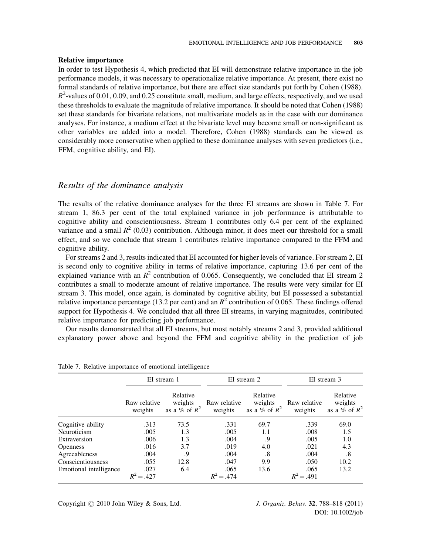#### Relative importance

In order to test Hypothesis 4, which predicted that EI will demonstrate relative importance in the job performance models, it was necessary to operationalize relative importance. At present, there exist no formal standards of relative importance, but there are effect size standards put forth by Cohen (1988).  $R^2$ -values of 0.01, 0.09, and 0.25 constitute small, medium, and large effects, respectively, and we used these thresholds to evaluate the magnitude of relative importance. It should be noted that Cohen (1988) set these standards for bivariate relations, not multivariate models as in the case with our dominance analyses. For instance, a medium effect at the bivariate level may become small or non-significant as other variables are added into a model. Therefore, Cohen (1988) standards can be viewed as considerably more conservative when applied to these dominance analyses with seven predictors (i.e., FFM, cognitive ability, and EI).

### Results of the dominance analysis

The results of the relative dominance analyses for the three EI streams are shown in Table 7. For stream 1, 86.3 per cent of the total explained variance in job performance is attributable to cognitive ability and conscientiousness. Stream 1 contributes only 6.4 per cent of the explained variance and a small  $R^2$  (0.03) contribution. Although minor, it does meet our threshold for a small effect, and so we conclude that stream 1 contributes relative importance compared to the FFM and cognitive ability.

For streams 2 and 3, results indicated that EI accounted for higher levels of variance. For stream 2, EI is second only to cognitive ability in terms of relative importance, capturing 13.6 per cent of the explained variance with an  $R^2$  contribution of 0.065. Consequently, we concluded that EI stream 2 contributes a small to moderate amount of relative importance. The results were very similar for EI stream 3. This model, once again, is dominated by cognitive ability, but EI possessed a substantial relative importance percentage (13.2 per cent) and an  $R^2$  contribution of 0.065. These findings offered support for Hypothesis 4. We concluded that all three EI streams, in varying magnitudes, contributed relative importance for predicting job performance.

Our results demonstrated that all EI streams, but most notably streams 2 and 3, provided additional explanatory power above and beyond the FFM and cognitive ability in the prediction of job

|                        |                         | EI stream 1                            |                         | EI stream 2                            |                         | EI stream 3                            |
|------------------------|-------------------------|----------------------------------------|-------------------------|----------------------------------------|-------------------------|----------------------------------------|
|                        | Raw relative<br>weights | Relative<br>weights<br>as a % of $R^2$ | Raw relative<br>weights | Relative<br>weights<br>as a % of $R^2$ | Raw relative<br>weights | Relative<br>weights<br>as a % of $R^2$ |
| Cognitive ability      | .313                    | 73.5                                   | .331                    | 69.7                                   | .339                    | 69.0                                   |
| Neuroticism            | .005                    | 1.3                                    | .005                    | 1.1                                    | .008                    | 1.5                                    |
| Extraversion           | .006                    | 1.3                                    | .004                    | .9                                     | .005                    | 1.0                                    |
| <b>Openness</b>        | .016                    | 3.7                                    | .019                    | 4.0                                    | .021                    | 4.3                                    |
| Agreeableness          | .004                    | 9.                                     | .004                    | .8                                     | .004                    | .8                                     |
| Conscientiousness      | .055                    | 12.8                                   | .047                    | 9.9                                    | .050                    | 10.2                                   |
| Emotional intelligence | .027<br>$R^2 = .427$    | 6.4                                    | .065<br>$R^2 = .474$    | 13.6                                   | .065<br>$R^2 = .491$    | 13.2                                   |

Table 7. Relative importance of emotional intelligence

Copyright  $\odot$  2010 John Wiley & Sons, Ltd. J. Organiz. Behav. 32, 788–818 (2011)

DOI: 10.1002/job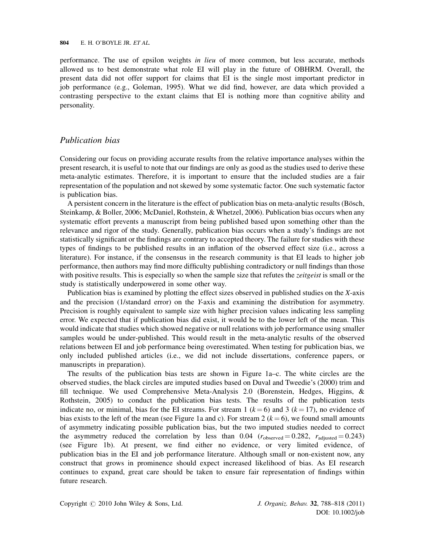performance. The use of epsilon weights in lieu of more common, but less accurate, methods allowed us to best demonstrate what role EI will play in the future of OBHRM. Overall, the present data did not offer support for claims that EI is the single most important predictor in job performance (e.g., Goleman, 1995). What we did find, however, are data which provided a contrasting perspective to the extant claims that EI is nothing more than cognitive ability and personality.

### Publication bias

Considering our focus on providing accurate results from the relative importance analyses within the present research, it is useful to note that our findings are only as good as the studies used to derive these meta-analytic estimates. Therefore, it is important to ensure that the included studies are a fair representation of the population and not skewed by some systematic factor. One such systematic factor is publication bias.

A persistent concern in the literature is the effect of publication bias on meta-analytic results (Bösch, Steinkamp, & Boller, 2006; McDaniel, Rothstein, & Whetzel, 2006). Publication bias occurs when any systematic effort prevents a manuscript from being published based upon something other than the relevance and rigor of the study. Generally, publication bias occurs when a study's findings are not statistically significant or the findings are contrary to accepted theory. The failure for studies with these types of findings to be published results in an inflation of the observed effect size (i.e., across a literature). For instance, if the consensus in the research community is that EI leads to higher job performance, then authors may find more difficulty publishing contradictory or null findings than those with positive results. This is especially so when the sample size that refutes the *zeitgeist* is small or the study is statistically underpowered in some other way.

Publication bias is examined by plotting the effect sizes observed in published studies on the X-axis and the precision (1/standard error) on the Y-axis and examining the distribution for asymmetry. Precision is roughly equivalent to sample size with higher precision values indicating less sampling error. We expected that if publication bias did exist, it would be to the lower left of the mean. This would indicate that studies which showed negative or null relations with job performance using smaller samples would be under-published. This would result in the meta-analytic results of the observed relations between EI and job performance being overestimated. When testing for publication bias, we only included published articles (i.e., we did not include dissertations, conference papers, or manuscripts in preparation).

The results of the publication bias tests are shown in Figure 1a–c. The white circles are the observed studies, the black circles are imputed studies based on Duval and Tweedie's (2000) trim and fill technique. We used Comprehensive Meta-Analysis 2.0 (Borenstein, Hedges, Higgins, & Rothstein, 2005) to conduct the publication bias tests. The results of the publication tests indicate no, or minimal, bias for the EI streams. For stream 1  $(k = 6)$  and 3  $(k = 17)$ , no evidence of bias exists to the left of the mean (see Figure 1a and c). For stream 2  $(k=6)$ , we found small amounts of asymmetry indicating possible publication bias, but the two imputed studies needed to correct the asymmetry reduced the correlation by less than 0.04 ( $r_{observed} = 0.282$ ,  $r_{adjusted} = 0.243$ ) (see Figure 1b). At present, we find either no evidence, or very limited evidence, of publication bias in the EI and job performance literature. Although small or non-existent now, any construct that grows in prominence should expect increased likelihood of bias. As EI research continues to expand, great care should be taken to ensure fair representation of findings within future research.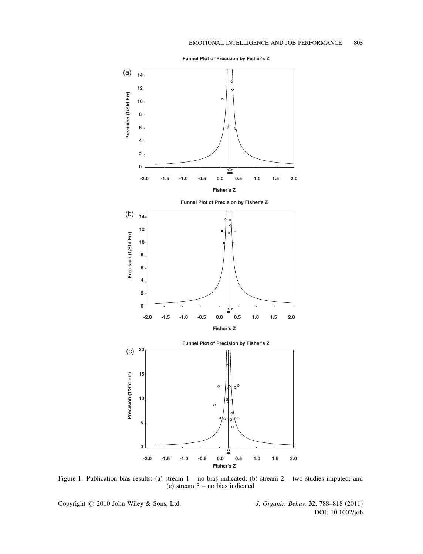

**Funnel Plot of Precision by Fisher's Z**

Figure 1. Publication bias results: (a) stream 1 – no bias indicated; (b) stream 2 – two studies imputed; and (c) stream 3 – no bias indicated

DOI: 10.1002/job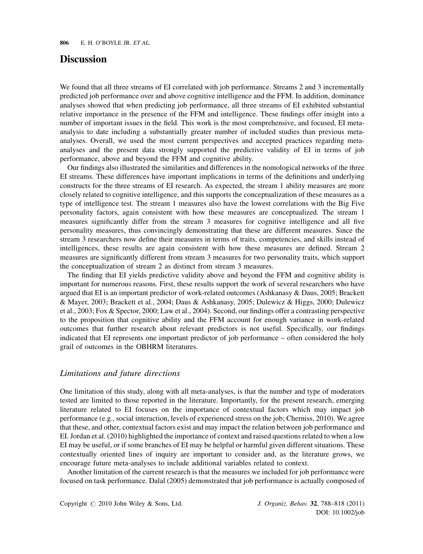## **Discussion**

We found that all three streams of EI correlated with job performance. Streams 2 and 3 incrementally predicted job performance over and above cognitive intelligence and the FFM. In addition, dominance analyses showed that when predicting job performance, all three streams of EI exhibited substantial relative importance in the presence of the FFM and intelligence. These findings offer insight into a number of important issues in the field. This work is the most comprehensive, and focused, EI metaanalysis to date including a substantially greater number of included studies than previous metaanalyses. Overall, we used the most current perspectives and accepted practices regarding metaanalyses and the present data strongly supported the predictive validity of EI in terms of job performance, above and beyond the FFM and cognitive ability.

Our findings also illustrated the similarities and differences in the nomological networks of the three EI streams. These differences have important implications in terms of the definitions and underlying constructs for the three streams of EI research. As expected, the stream 1 ability measures are more closely related to cognitive intelligence, and this supports the conceptualization of these measures as a type of intelligence test. The stream 1 measures also have the lowest correlations with the Big Five personality factors, again consistent with how these measures are conceptualized. The stream 1 measures significantly differ from the stream 3 measures for cognitive intelligence and all five personality measures, thus convincingly demonstrating that these are different measures. Since the stream 3 researchers now define their measures in terms of traits, competencies, and skills instead of intelligences, these results are again consistent with how these measures are defined. Stream 2 measures are significantly different from stream 3 measures for two personality traits, which support the conceptualization of stream 2 as distinct from stream 3 measures.

The finding that EI yields predictive validity above and beyond the FFM and cognitive ability is important for numerous reasons. First, these results support the work of several researchers who have argued that EI is an important predictor of work-related outcomes (Ashkanasy & Daus, 2005; Brackett & Mayer, 2003; Brackett et al., 2004; Daus & Ashkanasy, 2005; Dulewicz & Higgs, 2000; Dulewicz et al., 2003; Fox & Spector, 2000; Law et al., 2004). Second, our findings offer a contrasting perspective to the proposition that cognitive ability and the FFM account for enough variance in work-related outcomes that further research about relevant predictors is not useful. Specifically, our findings indicated that EI represents one important predictor of job performance – often considered the holy grail of outcomes in the OBHRM literatures.

### Limitations and future directions

One limitation of this study, along with all meta-analyses, is that the number and type of moderators tested are limited to those reported in the literature. Importantly, for the present research, emerging literature related to EI focuses on the importance of contextual factors which may impact job performance (e.g., social interaction, levels of experienced stress on the job; Cherniss, 2010). We agree that these, and other, contextual factors exist and may impact the relation between job performance and EI. Jordan et al. (2010) highlighted the importance of context and raised questions related to when a low EI may be useful, or if some branches of EI may be helpful or harmful given different situations. These contextually oriented lines of inquiry are important to consider and, as the literature grows, we encourage future meta-analyses to include additional variables related to context.

Another limitation of the current research is that the measures we included for job performance were focused on task performance. Dalal (2005) demonstrated that job performance is actually composed of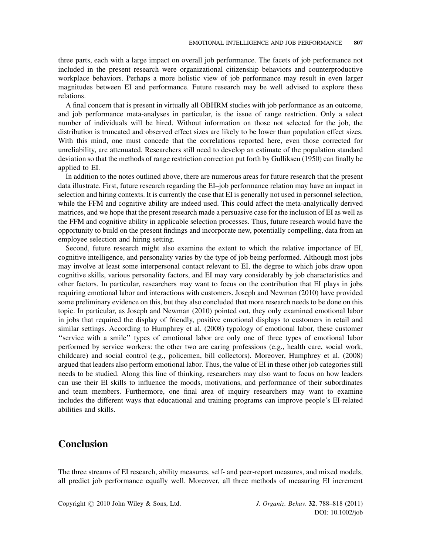three parts, each with a large impact on overall job performance. The facets of job performance not included in the present research were organizational citizenship behaviors and counterproductive workplace behaviors. Perhaps a more holistic view of job performance may result in even larger magnitudes between EI and performance. Future research may be well advised to explore these relations.

A final concern that is present in virtually all OBHRM studies with job performance as an outcome, and job performance meta-analyses in particular, is the issue of range restriction. Only a select number of individuals will be hired. Without information on those not selected for the job, the distribution is truncated and observed effect sizes are likely to be lower than population effect sizes. With this mind, one must concede that the correlations reported here, even those corrected for unreliability, are attenuated. Researchers still need to develop an estimate of the population standard deviation so that the methods of range restriction correction put forth by Gulliksen (1950) can finally be applied to EI.

In addition to the notes outlined above, there are numerous areas for future research that the present data illustrate. First, future research regarding the EI–job performance relation may have an impact in selection and hiring contexts. It is currently the case that EI is generally not used in personnel selection, while the FFM and cognitive ability are indeed used. This could affect the meta-analytically derived matrices, and we hope that the present research made a persuasive case for the inclusion of EI as well as the FFM and cognitive ability in applicable selection processes. Thus, future research would have the opportunity to build on the present findings and incorporate new, potentially compelling, data from an employee selection and hiring setting.

Second, future research might also examine the extent to which the relative importance of EI, cognitive intelligence, and personality varies by the type of job being performed. Although most jobs may involve at least some interpersonal contact relevant to EI, the degree to which jobs draw upon cognitive skills, various personality factors, and EI may vary considerably by job characteristics and other factors. In particular, researchers may want to focus on the contribution that EI plays in jobs requiring emotional labor and interactions with customers. Joseph and Newman (2010) have provided some preliminary evidence on this, but they also concluded that more research needs to be done on this topic. In particular, as Joseph and Newman (2010) pointed out, they only examined emotional labor in jobs that required the display of friendly, positive emotional displays to customers in retail and similar settings. According to Humphrey et al. (2008) typology of emotional labor, these customer ''service with a smile'' types of emotional labor are only one of three types of emotional labor performed by service workers: the other two are caring professions (e.g., health care, social work, childcare) and social control (e.g., policemen, bill collectors). Moreover, Humphrey et al. (2008) argued that leaders also perform emotional labor. Thus, the value of EI in these other job categories still needs to be studied. Along this line of thinking, researchers may also want to focus on how leaders can use their EI skills to influence the moods, motivations, and performance of their subordinates and team members. Furthermore, one final area of inquiry researchers may want to examine includes the different ways that educational and training programs can improve people's EI-related abilities and skills.

## Conclusion

The three streams of EI research, ability measures, self- and peer-report measures, and mixed models, all predict job performance equally well. Moreover, all three methods of measuring EI increment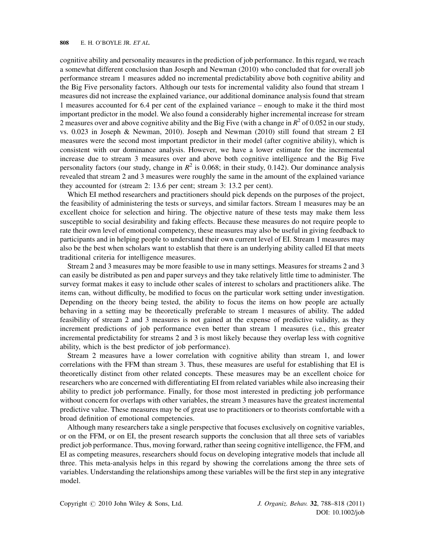cognitive ability and personality measures in the prediction of job performance. In this regard, we reach a somewhat different conclusion than Joseph and Newman (2010) who concluded that for overall job performance stream 1 measures added no incremental predictability above both cognitive ability and the Big Five personality factors. Although our tests for incremental validity also found that stream 1 measures did not increase the explained variance, our additional dominance analysis found that stream 1 measures accounted for 6.4 per cent of the explained variance – enough to make it the third most important predictor in the model. We also found a considerably higher incremental increase for stream 2 measures over and above cognitive ability and the Big Five (with a change in  $R^2$  of 0.052 in our study, vs. 0.023 in Joseph & Newman, 2010). Joseph and Newman (2010) still found that stream 2 EI measures were the second most important predictor in their model (after cognitive ability), which is consistent with our dominance analysis. However, we have a lower estimate for the incremental increase due to stream 3 measures over and above both cognitive intelligence and the Big Five personality factors (our study, change in  $R^2$  is 0.068; in their study, 0.142). Our dominance analysis revealed that stream 2 and 3 measures were roughly the same in the amount of the explained variance they accounted for (stream 2: 13.6 per cent; stream 3: 13.2 per cent).

Which EI method researchers and practitioners should pick depends on the purposes of the project, the feasibility of administering the tests or surveys, and similar factors. Stream 1 measures may be an excellent choice for selection and hiring. The objective nature of these tests may make them less susceptible to social desirability and faking effects. Because these measures do not require people to rate their own level of emotional competency, these measures may also be useful in giving feedback to participants and in helping people to understand their own current level of EI. Stream 1 measures may also be the best when scholars want to establish that there is an underlying ability called EI that meets traditional criteria for intelligence measures.

Stream 2 and 3 measures may be more feasible to use in many settings. Measures for streams 2 and 3 can easily be distributed as pen and paper surveys and they take relatively little time to administer. The survey format makes it easy to include other scales of interest to scholars and practitioners alike. The items can, without difficulty, be modified to focus on the particular work setting under investigation. Depending on the theory being tested, the ability to focus the items on how people are actually behaving in a setting may be theoretically preferable to stream 1 measures of ability. The added feasibility of stream 2 and 3 measures is not gained at the expense of predictive validity, as they increment predictions of job performance even better than stream 1 measures (i.e., this greater incremental predictability for streams 2 and 3 is most likely because they overlap less with cognitive ability, which is the best predictor of job performance).

Stream 2 measures have a lower correlation with cognitive ability than stream 1, and lower correlations with the FFM than stream 3. Thus, these measures are useful for establishing that EI is theoretically distinct from other related concepts. These measures may be an excellent choice for researchers who are concerned with differentiating EI from related variables while also increasing their ability to predict job performance. Finally, for those most interested in predicting job performance without concern for overlaps with other variables, the stream 3 measures have the greatest incremental predictive value. These measures may be of great use to practitioners or to theorists comfortable with a broad definition of emotional competencies.

Although many researchers take a single perspective that focuses exclusively on cognitive variables, or on the FFM, or on EI, the present research supports the conclusion that all three sets of variables predict job performance. Thus, moving forward, rather than seeing cognitive intelligence, the FFM, and EI as competing measures, researchers should focus on developing integrative models that include all three. This meta-analysis helps in this regard by showing the correlations among the three sets of variables. Understanding the relationships among these variables will be the first step in any integrative model.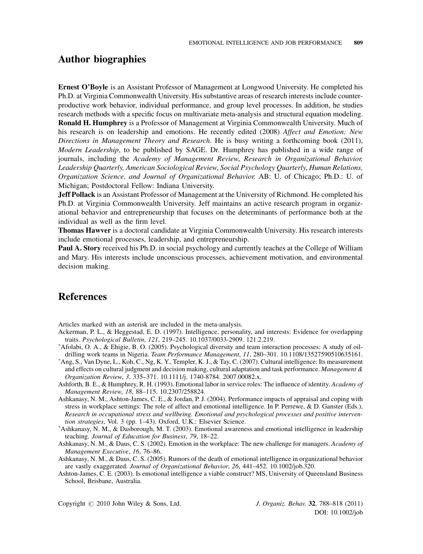## Author biographies

Ernest O'Boyle is an Assistant Professor of Management at Longwood University. He completed his Ph.D. at Virginia Commonwealth University. His substantive areas of research interests include counterproductive work behavior, individual performance, and group level processes. In addition, he studies research methods with a specific focus on multivariate meta-analysis and structural equation modeling. Ronald H. Humphrey is a Professor of Management at Virginia Commonwealth University. Much of his research is on leadership and emotions. He recently edited (2008) *Affect and Emotion: New* Directions in Management Theory and Research. He is busy writing a forthcoming book (2011), Modern Leadership, to be published by SAGE. Dr. Humphrey has published in a wide range of journals, including the Academy of Management Review, Research in Organizational Behavior, Leadership Quarterly, American Sociological Review, Social Psychology Quarterly, Human Relations, Organization Science, and Journal of Organizational Behavior. AB: U. of Chicago; Ph.D.: U. of Michigan; Postdoctoral Fellow: Indiana University.

Jeff Pollack is an Assistant Professor of Management at the University of Richmond. He completed his Ph.D. at Virginia Commonwealth University. Jeff maintains an active research program in organizational behavior and entrepreneurship that focuses on the determinants of performance both at the individual as well as the firm level.

Thomas Hawver is a doctoral candidate at Virginia Commonwealth University. His research interests include emotional processes, leadership, and entrepreneurship.

Paul A. Story received his Ph.D. in social psychology and currently teaches at the College of William and Mary. His interests include unconscious processes, achievement motivation, and environmental decision making.

## References

Articles marked with an asterisk are included in the meta-analysis.

- Ackerman, P. L., & Heggestad, E. D. (1997). Intelligence, personality, and interests: Evidence for overlapping traits. Psychological Bulletin, 121, 219–245. 10.1037/0033-2909. 121.2.219.
- Afolabi, O. A., & Ehigie, B. O. (2005). Psychological diversity and team interaction processes: A study of oildrilling work teams in Nigeria. Team Performance Management, 11, 280-301. 10.1108/13527590510635161.
- Ang, S., Van Dyne, L., Koh, C., Ng, K. Y., Templer, K. J., & Tay, C. (2007). Cultural intelligence: Its measurement and effects on cultural judgment and decision making, cultural adaptation and task performance. Management  $\&$ Organization Review, 3, 335–371. 10.1111/j. 1740-8784. 2007.00082.x.
- Ashforth, B. E., & Humphrey, R. H. (1993). Emotional labor in service roles: The influence of identity. Academy of Management Review, 18, 88–115. 10.2307/258824.
- Ashkanasy, N. M., Ashton-James, C. E., & Jordan, P. J. (2004). Performance impacts of appraisal and coping with stress in workplace settings: The role of affect and emotional intelligence. In P. Perrewe, & D. Ganster (Eds.), Research in occupational stress and wellbeing. Emotional and psychological processes and positive intervention strategies, Vol. 3 (pp. 1–43). Oxford, U.K.: Elsevier Science.
- Ashkanasy, N. M., & Dasborough, M. T. (2003). Emotional awareness and emotional intelligence in leadership teaching. Journal of Education for Business, 79, 18–22.
- Ashkanasy, N. M., & Daus, C. S. (2002). Emotion in the workplace: The new challenge for managers. Academy of Management Executive, 16, 76–86.
- Ashkanasy, N. M., & Daus, C. S. (2005). Rumors of the death of emotional intelligence in organizational behavior are vastly exaggerated. Journal of Organizational Behavior, 26, 441–452. 10.1002/job.320.
- Ashton-James, C. E. (2003). Is emotional intelligence a viable construct? MS, University of Queensland Business School, Brisbane, Australia.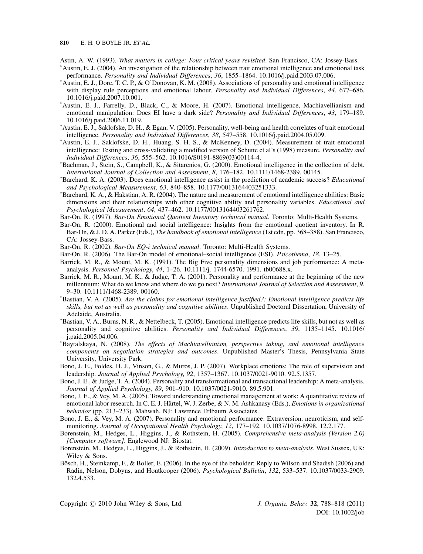- Astin, A. W. (1993). What matters in college: Four critical years revisited. San Francisco, CA: Jossey-Bass.
- Austin, E. J. (2004). An investigation of the relationship between trait emotional intelligence and emotional task performance. Personality and Individual Differences, 36, 1855–1864. 10.1016/j.paid.2003.07.006.
- Austin, E. J., Dore, T. C. P., & O'Donovan, K. M. (2008). Associations of personality and emotional intelligence with display rule perceptions and emotional labour. *Personality and Individual Differences*, 44, 677–686. 10.1016/j.paid.2007.10.001.
- Austin, E. J., Farrelly, D., Black, C., & Moore, H. (2007). Emotional intelligence, Machiavellianism and emotional manipulation: Does EI have a dark side? Personality and Individual Differences, 43, 179-189. 10.1016/j.paid.2006.11.019.
- Austin, E. J., Saklofske, D. H., & Egan, V. (2005). Personality, well-being and health correlates of trait emotional intelligence. Personality and Individual Differences, 38, 547–558. 10.1016/j.paid.2004.05.009.
- Austin, E. J., Saklofske, D. H., Huang, S. H. S., & McKenney, D. (2004). Measurement of trait emotional intelligence: Testing and cross-validating a modified version of Schutte et al's (1998) measure. Personality and Individual Differences, 36, 555–562. 10.1016/S0191-8869(03)00114-4.
- Bachman, J., Stein, S., Campbell, K., & Sitarenios, G. (2000). Emotional intelligence in the collection of debt. International Journal of Collection and Assessment, 8, 176–182. 10.1111/1468-2389. 00145.
- <sup>\*</sup>Barchard, K. A. (2003). Does emotional intelligence assist in the prediction of academic success? *Educational* and Psychological Measurement, 63, 840–858. 10.1177/0013164403251333.
- Barchard, K. A., & Hakstian, A. R. (2004). The nature and measurement of emotional intelligence abilities: Basic dimensions and their relationships with other cognitive ability and personality variables. Educational and Psychological Measurement, 64, 437–462. 10.1177/0013164403261762.
- Bar-On, R. (1997). Bar-On Emotional Quotient Inventory technical manual. Toronto: Multi-Health Systems.
- Bar-On, R. (2000). Emotional and social intelligence: Insights from the emotional quotient inventory. In R. Bar-On, & J. D. A. Parker (Eds.), The handbook of emotional intelligence (1st edn, pp. 368–388). San Francisco, CA: Jossey-Bass.
- Bar-On, R. (2002). Bar-On EQ-i technical manual. Toronto: Multi-Health Systems.
- Bar-On, R. (2006). The Bar-On model of emotional–social intelligence (ESI). Psicothema, 18, 13–25.
- Barrick, M. R., & Mount, M. K. (1991). The Big Five personality dimensions and job performance: A metaanalysis. Personnel Psychology, 44, 1–26. 10.1111/j. 1744-6570. 1991. tb00688.x.
- Barrick, M. R., Mount, M. K., & Judge, T. A. (2001). Personality and performance at the beginning of the new millennium: What do we know and where do we go next? International Journal of Selection and Assessment, 9, 9–30. 10.1111/1468-2389. 00160.
- Bastian, V. A. (2005). Are the claims for emotional intelligence justified?: Emotional intelligence predicts life skills, but not as well as personality and cognitive abilities. Unpublished Doctoral Dissertation, University of Adelaide, Australia.
- Bastian, V. A., Burns, N. R., & Nettelbeck, T. (2005). Emotional intelligence predicts life skills, but not as well as personality and cognitive abilities. Personality and Individual Differences, 39, 1135–1145. 10.1016/ j.paid.2005.04.006.
- Baytalskaya, N. (2008). The effects of Machiavellianism, perspective taking, and emotional intelligence components on negotiation strategies and outcomes. Unpublished Master's Thesis, Pennsylvania State University, University Park.
- Bono, J. E., Foldes, H. J., Vinson, G., & Muros, J. P. (2007). Workplace emotions: The role of supervision and leadership. Journal of Applied Psychology, 92, 1357–1367. 10.1037/0021-9010. 92.5.1357.
- Bono, J. E., & Judge, T. A. (2004). Personality and transformational and transactional leadership: A meta-analysis. Journal of Applied Psychology, 89, 901–910. 10.1037/0021-9010. 89.5.901.
- Bono, J. E., & Vey, M. A. (2005). Toward understanding emotional management at work: A quantitative review of emotional labor research. In C. E. J. Härtel, W. J. Zerbe, & N. M. Ashkanasy (Eds.), *Emotions in organizational* behavior (pp. 213–233). Mahwah, NJ: Lawrence Erlbaum Associates.
- Bono, J. E., & Vey, M. A. (2007). Personality and emotional performance: Extraversion, neuroticism, and selfmonitoring. Journal of Occupational Health Psychology, 12, 177–192. 10.1037/1076-8998. 12.2.177.
- Borenstein, M., Hedges, L., Higgins, J., & Rothstein, H. (2005). Comprehensive meta-analysis (Version 2.0) [Computer software]. Englewood NJ: Biostat.
- Borenstein, M., Hedges, L., Higgins, J., & Rothstein, H. (2009). Introduction to meta-analysis. West Sussex, UK: Wiley & Sons.
- Bösch, H., Steinkamp, F., & Boller, E. (2006). In the eve of the beholder: Reply to Wilson and Shadish (2006) and Radin, Nelson, Dobyns, and Houtkooper (2006). Psychological Bulletin, 132, 533–537. 10.1037/0033-2909. 132.4.533.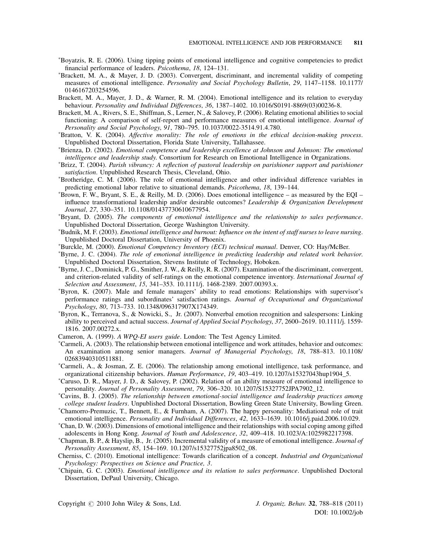- -Boyatzis, R. E. (2006). Using tipping points of emotional intelligence and cognitive competencies to predict financial performance of leaders. Psicothema, 18, 124–131.
- Brackett, M. A., & Mayer, J. D. (2003). Convergent, discriminant, and incremental validity of competing measures of emotional intelligence. *Personality and Social Psychology Bulletin*, 29, 1147–1158. 10.1177/ 0146167203254596.
- Brackett, M. A., Mayer, J. D., & Warner, R. M. (2004). Emotional intelligence and its relation to everyday behaviour. Personality and Individual Differences, 36, 1387–1402. 10.1016/S0191-8869(03)00236-8.
- Brackett, M. A., Rivers, S. E., Shiffman, S., Lerner, N., & Salovey, P. (2006). Relating emotional abilities to social functioning: A comparison of self-report and performance measures of emotional intelligence. Journal of Personality and Social Psychology, 91, 780–795. 10.1037/0022-3514.91.4.780.
- Bratton, V. K. (2004). Affective morality: The role of emotions in the ethical decision-making process. Unpublished Doctoral Dissertation, Florida State University, Tallahassee.
- Brienza, D. (2002). Emotional competence and leadership excellence at Johnson and Johnson: The emotional intelligence and leadership study. Consortium for Research on Emotional Intelligence in Organizations.
- Brizz, T. (2004). Parish vibrancy: A reflection of pastoral leadership on parishioner support and parishioner satisfaction. Unpublished Research Thesis, Cleveland, Ohio.
- Brotheridge, C. M. (2006). The role of emotional intelligence and other individual difference variables in predicting emotional labor relative to situational demands. Psicothema, 18, 139–144.
- Brown, F. W., Bryant, S. E., & Reilly, M. D. (2006). Does emotional intelligence as measured by the EQI influence transformational leadership and/or desirable outcomes? Leadership & Organization Development Journal, 27, 330–351. 10.1108/01437730610677954.
- Bryant, D. (2005). The components of emotional intelligence and the relationship to sales performance. Unpublished Doctoral Dissertation, George Washington University.
- Budnik, M. F. (2003). Emotional intelligence and burnout: Influence on the intent of staff nurses to leave nursing. Unpublished Doctoral Dissertation, University of Phoenix.
- \*Burckle, M. (2000). *Emotional Competency Inventory (ECI) technical manual*. Denver, CO: Hay/McBer.
- Byrne, J. C. (2004). The role of emotional intelligence in predicting leadership and related work behavior. Unpublished Doctoral Dissertation, Stevens Institute of Technology, Hoboken.
- Byrne, J. C., Dominick, P. G., Smither, J. W., & Reilly, R. R. (2007). Examination of the discriminant, convergent, and criterion-related validity of self-ratings on the emotional competence inventory. International Journal of Selection and Assessment, 15, 341–353. 10.1111/j. 1468-2389. 2007.00393.x.
- Byron, K. (2007). Male and female managers' ability to read emotions: Relationships with supervisor's performance ratings and subordinates' satisfaction ratings. Journal of Occupational and Organizational Psychology, 80, 713–733. 10.1348/096317907X174349.
- Byron, K., Terranova, S., & Nowicki, S., Jr. (2007). Nonverbal emotion recognition and salespersons: Linking ability to perceived and actual success. Journal of Applied Social Psychology, 37, 2600–2619. 10.1111/j. 1559- 1816. 2007.00272.x.
- Cameron, A. (1999). A WPQ-EI users guide. London: The Test Agency Limited.
- Carmeli, A. (2003). The relationship between emotional intelligence and work attitudes, behavior and outcomes: An examination among senior managers. Journal of Managerial Psychology, 18, 788–813. 10.1108/ 02683940310511881.
- Carmeli, A., & Josman, Z. E. (2006). The relationship among emotional intelligence, task performance, and organizational citizenship behaviors. Human Performance, 19, 403–419. 10.1207/s15327043hup1904\_5.
- Caruso, D. R., Mayer, J. D., & Salovey, P. (2002). Relation of an ability measure of emotional intelligence to personality. Journal of Personality Assessment, 79, 306–320. 10.1207/S15327752JPA7902\_12.
- Cavins, B. J. (2005). The relationship between emotional-social intelligence and leadership practices among college student leaders. Unpublished Doctoral Dissertation, Bowling Green State University, Bowling Green.
- Chamorro-Premuzic, T., Bennett, E., & Furnham, A. (2007). The happy personality: Mediational role of trait emotional intelligence. Personality and Individual Differences, 42, 1633–1639. 10.1016/j.paid.2006.10.029.
- Chan, D. W. (2003). Dimensions of emotional intelligence and their relationships with social coping among gifted adolescents in Hong Kong. Journal of Youth and Adolescence, 32, 409–418. 10.1023/A:1025982217398.
- \*Chapman, B. P., & Hayslip, B., Jr. (2005). Incremental validity of a measure of emotional intelligence. Journal of Personality Assessment, 85, 154–169. 10.1207/s15327752jpa8502\_08.
- Cherniss, C. (2010). Emotional intelligence: Towards clarification of a concept. Industrial and Organizational Psychology: Perspectives on Science and Practice, 3.
- Chipain, G. C. (2003). Emotional intelligence and its relation to sales performance. Unpublished Doctoral Dissertation, DePaul University, Chicago.

DOI: 10.1002/job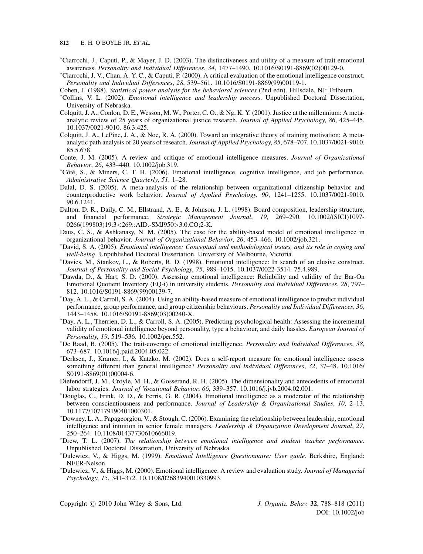- -Ciarrochi, J., Caputi, P., & Mayer, J. D. (2003). The distinctiveness and utility of a measure of trait emotional awareness. Personality and Individual Differences, 34, 1477–1490. 10.1016/S0191-8869(02)00129-0.
- Ciarrochi, J. V., Chan, A. Y. C., & Caputi, P. (2000). A critical evaluation of the emotional intelligence construct. Personality and Individual Differences, 28, 539–561. 10.1016/S0191-8869(99)00119-1.
- Cohen, J. (1988). Statistical power analysis for the behavioral sciences (2nd edn). Hillsdale, NJ: Erlbaum.
- Collins, V. L. (2002). Emotional intelligence and leadership success. Unpublished Doctoral Dissertation, University of Nebraska.
- Colquitt, J. A., Conlon, D. E., Wesson, M. W., Porter, C. O., & Ng, K. Y. (2001). Justice at the millennium: A metaanalytic review of 25 years of organizational justice research. Journal of Applied Psychology, 86, 425–445. 10.1037/0021-9010. 86.3.425.
- Colquitt, J. A., LePine, J. A., & Noe, R. A. (2000). Toward an integrative theory of training motivation: A metaanalytic path analysis of 20 years of research. Journal of Applied Psychology, 85, 678–707. 10.1037/0021-9010. 85.5.678.
- Conte, J. M. (2005). A review and critique of emotional intelligence measures. Journal of Organizational Behavior, 26, 433–440. 10.1002/job.319.
- Coˆte´, S., & Miners, C. T. H. (2006). Emotional intelligence, cognitive intelligence, and job performance. Administrative Science Quarterly, 51, 1–28.
- Dalal, D. S. (2005). A meta-analysis of the relationship between organizational citizenship behavior and counterproductive work behavior. Journal of Applied Psychology, 90, 1241–1255. 10.1037/0021-9010. 90.6.1241.
- Dalton, D. R., Daily, C. M., Ellstrand, A. E., & Johnson, J. L. (1998). Board composition, leadership structure, and financial performance. Strategic Management Journal, 19, 269–290. 10.1002/(SICI)1097- 0266(199803)19:3<269::AID.-SMJ950>3.0.CO;2-K.
- Daus, C. S., & Ashkanasy, N. M. (2005). The case for the ability-based model of emotional intelligence in organizational behavior. Journal of Organizational Behavior, 26, 453–466. 10.1002/job.321.
- David, S. A. (2005). Emotional intelligence: Conceptual and methodological issues, and its role in coping and well-being. Unpublished Doctoral Dissertation, University of Melbourne, Victoria.
- Davies, M., Stankov, L., & Roberts, R. D. (1998). Emotional intelligence: In search of an elusive construct. Journal of Personality and Social Psychology, 75, 989–1015. 10.1037/0022-3514. 75.4.989.
- Dawda, D., & Hart, S. D. (2000). Assessing emotional intelligence: Reliability and validity of the Bar-On Emotional Quotient Inventory (EQ-i) in university students. Personality and Individual Differences, 28, 797– 812. 10.1016/S0191-8869(99)00139-7.
- Day, A. L., & Carroll, S. A. (2004). Using an ability-based measure of emotional intelligence to predict individual performance, group performance, and group citizenship behaviours. Personality and Individual Differences, 36, 1443–1458. 10.1016/S0191-8869(03)00240-X.
- Day, A. L., Therrien, D. L., & Carroll, S. A. (2005). Predicting psychological health: Assessing the incremental validity of emotional intelligence beyond personality, type a behaviour, and daily hassles. European Journal of Personality, 19, 519–536. 10.1002/per.552.
- \*De Raad, B. (2005). The trait-coverage of emotional intelligence. Personality and Individual Differences, 38, 673–687. 10.1016/j.paid.2004.05.022.
- Derksen, J., Kramer, I., & Katzko, M. (2002). Does a self-report measure for emotional intelligence assess something different than general intelligence? *Personality and Individual Differences*, 32, 37–48. 10.1016/ S0191-8869(01)00004-6.
- Diefendorff, J. M., Croyle, M. H., & Gosserand, R. H. (2005). The dimensionality and antecedents of emotional labor strategies. Journal of Vocational Behavior, 66, 339–357. 10.1016/j.jvb.2004.02.001.
- Douglas, C., Frink, D. D., & Ferris, G. R. (2004). Emotional intelligence as a moderator of the relationship between conscientiousness and performance. Journal of Leadership & Organizational Studies, 10, 2–13. 10.1177/107179190401000301.
- Downey, L. A., Papageorgiou, V., & Stough, C. (2006). Examining the relationship between leadership, emotional intelligence and intuition in senior female managers. Leadership & Organization Development Journal, 27, 250–264. 10.1108/01437730610666019.
- Drew, T. L. (2007). The relationship between emotional intelligence and student teacher performance. Unpublished Doctoral Dissertation, University of Nebraska.
- \*Dulewicz, V., & Higgs, M. (1999). Emotional Intelligence Questionnaire: User guide. Berkshire, England: NFER-Nelson.
- \*Dulewicz, V., & Higgs, M. (2000). Emotional intelligence: A review and evaluation study. Journal of Managerial Psychology, 15, 341–372. 10.1108/02683940010330993.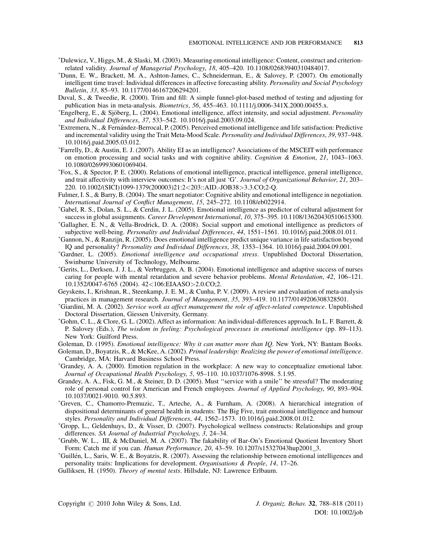- -Dulewicz, V., Higgs, M., & Slaski, M. (2003). Measuring emotional intelligence: Content, construct and criterionrelated validity. Journal of Managerial Psychology, 18, 405–420. 10.1108/02683940310484017.
- Dunn, E. W., Brackett, M. A., Ashton-James, C., Schneiderman, E., & Salovey, P. (2007). On emotionally intelligent time travel: Individual differences in affective forecasting ability. Personality and Social Psychology Bulletin, 33, 85–93. 10.1177/0146167206294201.
- Duval, S., & Tweedie, R. (2000). Trim and fill: A simple funnel-plot-based method of testing and adjusting for publication bias in meta-analysis. Biometrics, 56, 455–463. 10.1111/j.0006-341X.2000.00455.x.
- \*Engelberg, E., & Sjöberg, L. (2004). Emotional intelligence, affect intensity, and social adjustment. Personality and Individual Differences, 37, 533–542. 10.1016/j.paid.2003.09.024.
- Extremera, N., & Ferna´ndez-Berrocal, P. (2005). Perceived emotional intelligence and life satisfaction: Predictive and incremental validity using the Trait Meta-Mood Scale. Personality and Individual Differences, 39, 937–948. 10.1016/j.paid.2005.03.012.
- Farrelly, D., & Austin, E. J. (2007). Ability EI as an intelligence? Associations of the MSCEIT with performance on emotion processing and social tasks and with cognitive ability. Cognition & Emotion, 21, 1043-1063. 10.1080/02699930601069404.
- Fox, S., & Spector, P. E. (2000). Relations of emotional intelligence, practical intelligence, general intelligence, and trait affectivity with interview outcomes: It's not all just 'G'. Journal of Organizational Behavior, 21, 203– 220. 10.1002/(SICI)1099-1379(200003)21:2<203::AID.-JOB38>3.3.CO;2-Q.
- Fulmer, I. S., & Barry, B. (2004). The smart negotiator: Cognitive ability and emotional intelligence in negotiation. International Journal of Conflict Management, 15, 245–272. 10.1108/eb022914.
- Gabel, R. S., Dolan, S. L., & Cerdin, J. L. (2005). Emotional intelligence as predictor of cultural adjustment for success in global assignments. Career Development International, 10, 375-395. 10.1108/13620430510615300.
- Gallagher, E. N., & Vella-Brodrick, D. A. (2008). Social support and emotional intelligence as predictors of subjective well-being. Personality and Individual Differences, 44, 1551–1561. 10.1016/j.paid.2008.01.011.
- Gannon, N., & Ranzijn, R. (2005). Does emotional intelligence predict unique variance in life satisfaction beyond IQ and personality? Personality and Individual Differences, 38, 1353–1364. 10.1016/j.paid.2004.09.001.
- Gardner, L. (2005). Emotional intelligence and occupational stress. Unpublished Doctoral Dissertation, Swinburne University of Technology, Melbourne.
- Gerits, L., Derksen, J. J. L., & Verbruggen, A. B. (2004). Emotional intelligence and adaptive success of nurses caring for people with mental retardation and severe behavior problems. Mental Retardation, 42, 106–121. 10.1352/0047-6765 (2004). 42<106:EIAASO>2.0.CO;2.
- Geyskens, I., Krishnan, R., Steenkamp, J. E. M., & Cunha, P. V. (2009). A review and evaluation of meta-analysis practices in management research. Journal of Management, 35, 393–419. 10.1177/0149206308328501.
- Giardini, M. A. (2002). Service work as affect management the role of affect-related competence. Unpublished Doctoral Dissertation, Giessen University, Germany.
- Gohm, C. L., & Clore, G. L. (2002). Affect as information: An individual-differences approach. In L. F. Barrett, & P. Salovey (Eds.), The wisdom in feeling: Psychological processes in emotional intelligence (pp. 89-113). New York: Guilford Press.
- Goleman, D. (1995). *Emotional intelligence: Why it can matter more than IQ*. New York, NY: Bantam Books.
- Goleman, D., Boyatzis, R., & McKee, A. (2002). Primal leadership: Realizing the power of emotional intelligence. Cambridge, MA: Harvard Business School Press.
- Grandey, A. A. (2000). Emotion regulation in the workplace: A new way to conceptualize emotional labor. Journal of Occupational Health Psychology, 5, 95–110. 10.1037/1076-8998. 5.1.95.
- Grandey, A. A., Fisk, G. M., & Steiner, D. D. (2005). Must ''service with a smile'' be stressful? The moderating role of personal control for American and French employees. Journal of Applied Psychology, 90, 893–904. 10.1037/0021-9010. 90.5.893.
- Greven, C., Chamorro-Premuzic, T., Arteche, A., & Furnham, A. (2008). A hierarchical integration of dispositional determinants of general health in students: The Big Five, trait emotional intelligence and humour styles. Personality and Individual Differences, 44, 1562–1573. 10.1016/j.paid.2008.01.012.
- Gropp, L., Geldenhuys, D., & Visser, D. (2007). Psychological wellness constructs: Relationships and group differences. SA Journal of Industrial Psychology, 3, 24–34.
- Grubb, W. L., III, & McDaniel, M. A. (2007). The fakability of Bar-On's Emotional Quotient Inventory Short Form: Catch me if you can. Human Performance, 20, 43–59. 10.1207/s15327043hup2001\_3.
- Guille´n, L., Saris, W. E., & Boyatzis, R. (2007). Assessing the relationship between emotional intelligences and personality traits: Implications for development. Organisations & People, 14, 17–26.
- Gulliksen, H. (1950). Theory of mental tests. Hillsdale, NJ: Lawrence Erlbaum.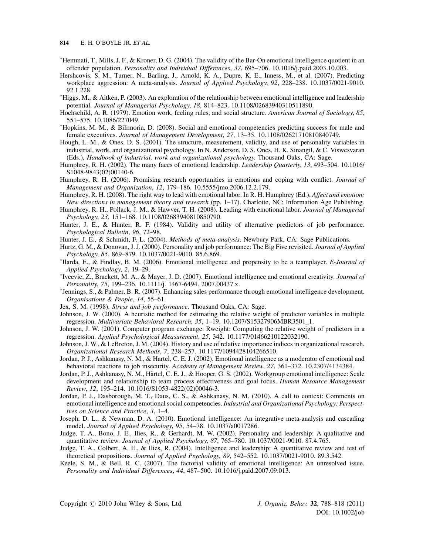- -Hemmati, T., Mills, J. F., & Kroner, D. G. (2004). The validity of the Bar-On emotional intelligence quotient in an offender population. Personality and Individual Differences, 37, 695–706. 10.1016/j.paid.2003.10.003.
- Hershcovis, S. M., Turner, N., Barling, J., Arnold, K. A., Dupre, K. E., Inness, M., et al. (2007). Predicting workplace aggression: A meta-analysis. Journal of Applied Psychology, 92, 228–238. 10.1037/0021-9010. 92.1.228.
- Higgs, M., & Aitken, P. (2003). An exploration of the relationship between emotional intelligence and leadership potential. Journal of Managerial Psychology, 18, 814–823. 10.1108/02683940310511890.
- Hochschild, A. R. (1979). Emotion work, feeling rules, and social structure. American Journal of Sociology, 85, 551–575. 10.1086/227049.
- Hopkins, M. M., & Bilimoria, D. (2008). Social and emotional competencies predicting success for male and female executives. Journal of Management Development, 27, 13–35. 10.1108/02621710810840749.
- Hough, L. M., & Ones, D. S. (2001). The structure, measurement, validity, and use of personality variables in industrial, work, and organizational psychology. In N. Anderson, D. S. Ones, H. K. Sinangil, & C. Viswesvaran (Eds.), Handbook of industrial, work and organizational psychology. Thousand Oaks, CA: Sage.
- Humphrey, R. H. (2002). The many faces of emotional leadership. Leadership Quarterly, 13, 493–504. 10.1016/ S1048-9843(02)00140-6.
- Humphrey, R. H. (2006). Promising research opportunities in emotions and coping with conflict. Journal of Management and Organization, 12, 179–186. 10.5555/jmo.2006.12.2.179.
- Humphrey, R. H. (2008). The right way to lead with emotional labor. In R. H. Humphrey (Ed.), *Affect and emotion*: New directions in management theory and research (pp. 1–17). Charlotte, NC: Information Age Publishing.
- Humphrey, R. H., Pollack, J. M., & Hawver, T. H. (2008). Leading with emotional labor. Journal of Managerial Psychology, 23, 151–168. 10.1108/02683940810850790.
- Hunter, J. E., & Hunter, R. F. (1984). Validity and utility of alternative predictors of job performance. Psychological Bulletin, 96, 72–98.
- Hunter, J. E., & Schmidt, F. L. (2004). *Methods of meta-analysis*. Newbury Park, CA: Sage Publications.
- Hurtz, G. M., & Donovan, J. J. (2000). Personality and job performance: The Big Five revisited. Journal of Applied Psychology, 85, 869–879. 10.1037/0021-9010. 85.6.869.
- <sup>\*</sup>Ilarda, E., & Findlay, B. M. (2006). Emotional intelligence and propensity to be a teamplayer. E-Journal of Applied Psychology, 2, 19–29.
- <sup>\*</sup>Ivcevic, Z., Brackett, M. A., & Mayer, J. D. (2007). Emotional intelligence and emotional creativity. Journal of Personality, 75, 199–236. 10.1111/j. 1467-6494. 2007.00437.x.
- Jennings, S., & Palmer, B. R. (2007). Enhancing sales performance through emotional intelligence development. Organisations & People, 14, 55–61.
- Jex, S. M. (1998). Stress and job performance. Thousand Oaks, CA: Sage.
- Johnson, J. W. (2000). A heuristic method for estimating the relative weight of predictor variables in multiple regression. Multivariate Behavioral Research, 35, 1–19. 10.1207/S15327906MBR3501\_1.
- Johnson, J. W. (2001). Computer program exchange: Rweight: Computing the relative weight of predictors in a regression. Applied Psychological Measurement, 25, 342. 10.1177/01466210122032190.
- Johnson, J. W., & LeBreton, J. M. (2004). History and use of relative importance indices in organizational research. Organizational Research Methods, 7, 238–257. 10.1177/1094428104266510.
- Jordan, P. J., Ashkanasy, N. M., & Hartel, C. E. J. (2002). Emotional intelligence as a moderator of emotional and behavioral reactions to job insecurity. Academy of Management Review, 27, 361–372. 10.2307/4134384.
- Jordan, P. J., Ashkanasy, N. M., Härtel, C. E. J., & Hooper, G. S. (2002). Workgroup emotional intelligence: Scale development and relationship to team process effectiveness and goal focus. Human Resource Management Review, 12, 195–214. 10.1016/S1053-4822(02)00046-3.
- Jordan, P. J., Dasborough, M. T., Daus, C. S., & Ashkanasy, N. M. (2010). A call to context: Comments on emotional intelligence and emotional social competencies. Industrial and Organizational Psychology: Perspectives on Science and Practice, 3, 1–4.
- Joseph, D. L., & Newman, D. A. (2010). Emotional intelligence: An integrative meta-analysis and cascading model. Journal of Applied Psychology, 95, 54–78. 10.1037/a0017286.
- Judge, T. A., Bono, J. E., Ilies, R., & Gerhardt, M. W. (2002). Personality and leadership: A qualitative and quantitative review. Journal of Applied Psychology, 87, 765–780. 10.1037/0021-9010. 87.4.765.
- Judge, T. A., Colbert, A. E., & Ilies, R. (2004). Intelligence and leadership: A quantitative review and test of theoretical propositions. Journal of Applied Psychology, 89, 542–552. 10.1037/0021-9010. 89.3.542.
- Keele, S. M., & Bell, R. C. (2007). The factorial validity of emotional intelligence: An unresolved issue. Personality and Individual Differences, 44, 487–500. 10.1016/j.paid.2007.09.013.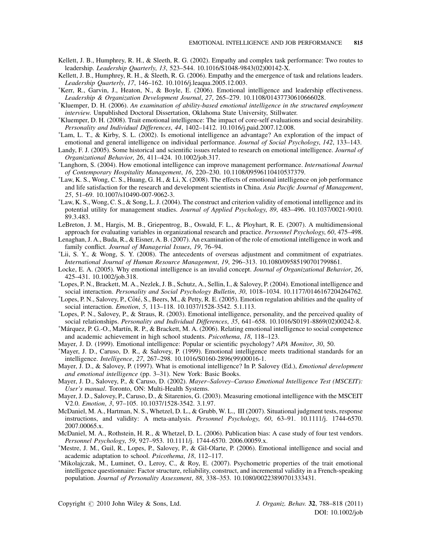- Kellett, J. B., Humphrey, R. H., & Sleeth, R. G. (2002). Empathy and complex task performance: Two routes to leadership. Leadership Quarterly, 13, 523–544. 10.1016/S1048-9843(02)00142-X.
- Kellett, J. B., Humphrey, R. H., & Sleeth, R. G. (2006). Empathy and the emergence of task and relations leaders. Leadership Quarterly, 17, 146–162. 10.1016/j.leaqua.2005.12.003.
- Kerr, R., Garvin, J., Heaton, N., & Boyle, E. (2006). Emotional intelligence and leadership effectiveness. Leadership & Organization Development Journal, 27, 265–279. 10.1108/01437730610666028.
- Kluemper, D. H. (2006). An examination of ability-based emotional intelligence in the structured employment interview. Unpublished Doctoral Dissertation, Oklahoma State University, Stillwater.
- Kluemper, D. H. (2008). Trait emotional intelligence: The impact of core-self evaluations and social desirability. Personality and Individual Differences, 44, 1402–1412. 10.1016/j.paid.2007.12.008.
- Lam, L. T., & Kirby, S. L. (2002). Is emotional intelligence an advantage? An exploration of the impact of emotional and general intelligence on individual performance. Journal of Social Psychology, 142, 133–143.
- Landy, F. J. (2005). Some historical and scientific issues related to research on emotional intelligence. Journal of Organizational Behavior, 26, 411–424. 10.1002/job.317.
- \*Langhorn, S. (2004). How emotional intelligence can improve management performance. International Journal of Contemporary Hospitality Management, 16, 220–230. 10.1108/09596110410537379.
- Law, K. S., Wong, C. S., Huang, G. H., & Li, X. (2008). The effects of emotional intelligence on job performance and life satisfaction for the research and development scientists in China. Asia Pacific Journal of Management, 25, 51–69. 10.1007/s10490-007-9062-3.
- Law, K. S., Wong, C. S., & Song, L. J. (2004). The construct and criterion validity of emotional intelligence and its potential utility for management studies. Journal of Applied Psychology, 89, 483–496. 10.1037/0021-9010. 89.3.483.
- LeBreton, J. M., Hargis, M. B., Griepentrog, B., Oswald, F. L., & Ployhart, R. E. (2007). A multidimensional approach for evaluating variables in organizational research and practice. Personnel Psychology, 60, 475–498.
- Lenaghan, J. A., Buda, R., & Eisner, A. B. (2007). An examination of the role of emotional intelligence in work and family conflict. Journal of Managerial Issues, 19, 76–94.
- Lii, S. Y., & Wong, S. Y. (2008). The antecedents of overseas adjustment and commitment of expatriates. International Journal of Human Resource Management, 19, 296–313. 10.1080/09585190701799861.
- Locke, E. A. (2005). Why emotional intelligence is an invalid concept. Journal of Organizational Behavior, 26, 425–431. 10.1002/job.318.
- Lopes, P. N., Brackett, M. A., Nezlek, J. B., Schutz, A., Sellin, I., & Salovey, P. (2004). Emotional intelligence and social interaction. Personality and Social Psychology Bulletin, 30, 1018-1034. 10.1177/0146167204264762.
- \*Lopes, P. N., Salovey, P., Côté, S., Beers, M., & Petty, R. E. (2005). Emotion regulation abilities and the quality of social interaction. Emotion, 5, 113–118. 10.1037/1528-3542. 5.1.113.
- Lopes, P. N., Salovey, P., & Straus, R. (2003). Emotional intelligence, personality, and the perceived quality of social relationships. Personality and Individual Differences, 35, 641-658. 10.1016/S0191-8869(02)00242-8.
- Ma´rquez, P. G.-O., Martı´n, R. P., & Brackett, M. A. (2006). Relating emotional intelligence to social competence and academic achievement in high school students. Psicothema, 18, 118–123.
- Mayer, J. D. (1999). Emotional intelligence: Popular or scientific psychology? APA Monitor, 30, 50.
- Mayer, J. D., Caruso, D. R., & Salovey, P. (1999). Emotional intelligence meets traditional standards for an intelligence. Intelligence, 27, 267–298. 10.1016/S0160-2896(99)00016-1.
- Mayer, J. D., & Salovey, P. (1997). What is emotional intelligence? In P. Salovey (Ed.), Emotional development and emotional intelligence (pp. 3–31). New York: Basic Books.
- Mayer, J. D., Salovey, P., & Caruso, D. (2002). Mayer–Salovey–Caruso Emotional Intelligence Test (MSCEIT): User's manual. Toronto, ON: Multi-Health Systems.
- Mayer, J. D., Salovey, P., Caruso, D., & Sitarenios, G. (2003). Measuring emotional intelligence with the MSCEIT V2.0. Emotion, 3, 97–105. 10.1037/1528-3542. 3.1.97.
- McDaniel, M. A., Hartman, N. S., Whetzel, D. L., & Grubb, W. L., III (2007). Situational judgment tests, response instructions, and validity: A meta-analysis. Personnel Psychology, 60, 63–91. 10.1111/j. 1744-6570. 2007.00065.x.
- McDaniel, M. A., Rothstein, H. R., & Whetzel, D. L. (2006). Publication bias: A case study of four test vendors. Personnel Psychology, 59, 927–953. 10.1111/j. 1744-6570. 2006.00059.x.
- Mestre, J. M., Guil, R., Lopes, P., Salovey, P., & Gil-Olarte, P. (2006). Emotional intelligence and social and academic adaptation to school. Psicothema, 18, 112–117.
- Mikolajczak, M., Luminet, O., Leroy, C., & Roy, E. (2007). Psychometric properties of the trait emotional intelligence questionnaire: Factor structure, reliability, construct, and incremental validity in a French-speaking population. Journal of Personality Assessment, 88, 338–353. 10.1080/00223890701333431.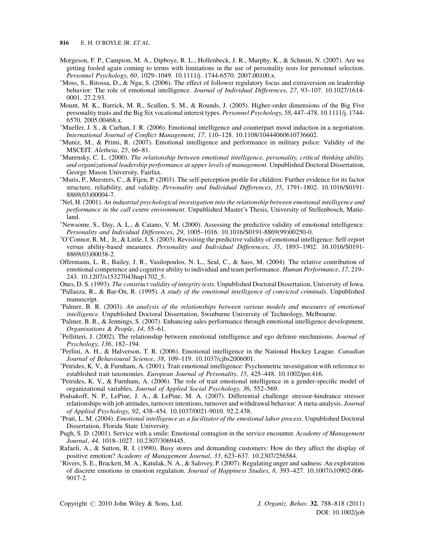- Morgeson, F. P., Campion, M. A., Dipboye, R. L., Hollenbeck, J. R., Murphy, K., & Schmitt, N. (2007). Are we getting fooled again coming to terms with limitations in the use of personality tests for personnel selection. Personnel Psychology, 60, 1029–1049. 10.1111/j. 1744-6570. 2007.00100.x.
- Moss, S., Ritossa, D., & Ngu, S. (2006). The effect of follower regulatory focus and extraversion on leadership behavior: The role of emotional intelligence. Journal of Individual Differences, 27, 93-107. 10.1027/1614-0001. 27.2.93.
- Mount, M. K., Barrick, M. R., Scullen, S. M., & Rounds, J. (2005). Higher-order dimensions of the Big Five personality traits and the Big Six vocational interest types. Personnel Psychology, 58, 447–478. 10.1111/j. 1744- 6570. 2005.00468.x.
- Mueller, J. S., & Curhan, J. R. (2006). Emotional intelligence and counterpart mood induction in a negotiation. International Journal of Conflict Management, 17, 110–128. 10.1108/10444060610736602.
- Muniz, M., & Primi, R. (2007). Emotional intelligence and performance in military police: Validity of the MSCEIT. Aletheia, 25, 66–81.
- Murensky, C. L. (2000). The relationship between emotional intelligence, personality, critical thinking ability, and organizational leadership performance at upper levels of management. Unpublished Doctoral Dissertation, George Mason University, Fairfax.
- Muris, P., Meesters, C., & Fijen, P. (2003). The self-perception profile for children: Further evidence for its factor structure, reliability, and validity. Personality and Individual Differences, 35, 1791-1802. 10.1016/S0191-8869(03)00004-7.
- Nel, H. (2001). An industrial psychological investigation into the relationship between emotional intelligence and performance in the call centre environment. Unpublished Master's Thesis, University of Stellenbosch, Matieland.
- Newsome, S., Day, A. L., & Catano, V. M. (2000). Assessing the predictive validity of emotional intelligence. Personality and Individual Differences, 29, 1005–1016. 10.1016/S0191-8869(99)00250-0.
- O'Connor, R. M., Jr., & Little, I. S. (2003). Revisiting the predictive validity of emotional intelligence: Self-report versus ability-based measures. Personality and Individual Differences, 35, 1893–1902. 10.1016/S0191- 8869(03)00038-2.
- Offermann, L. R., Bailey, J. R., Vasilopoulos, N. L., Seal, C., & Sass, M. (2004). The relative contribution of emotional competence and cognitive ability to individual and team performance. Human Performance, 17, 219– 243. 10.1207/s15327043hup1702\_5.
- Ones, D. S. (1993). The construct validity of integrity tests. Unpublished Doctoral Dissertation, University of Iowa. \*Pallazza, R., & Bar-On, R. (1995). A study of the emotional intelligence of convicted criminals. Unpublished manuscript.
- Palmer, B. R. (2003). An analysis of the relationships between various models and measures of emotional intelligence. Unpublished Doctoral Dissertation, Swinburne University of Technology, Melbourne.
- Palmer, B. R., & Jennings, S. (2007). Enhancing sales performance through emotional intelligence development. Organisations & People, 14, 55–61.
- \*Pellitteri, J. (2002). The relationship between emotional intelligence and ego defense mechanisms. Journal of Psychology, 136, 182–194.
- \*Perlini, A. H., & Halverson, T. R. (2006). Emotional intelligence in the National Hockey League. Canadian Journal of Behavioural Science, 38, 109–119. 10.1037/cjbs2006001.
- Petrides, K. V., & Furnham, A. (2001). Trait emotional intelligence: Psychometric investigation with reference to established trait taxonomies. European Journal of Personality, 15, 425–448. 10.1002/per.416.
- Petrides, K. V., & Furnham, A. (2006). The role of trait emotional intelligence in a gender-specific model of organizational variables. Journal of Applied Social Psychology, 36, 552–569.
- Podsakoff, N. P., LePine, J. A., & LePine, M. A. (2007). Differential challenge stressor-hindrance stressor relationships with job attitudes, turnover intentions, turnover and withdrawal behavior: A meta-analysis. Journal of Applied Psychology, 92, 438–454. 10.1037/0021-9010. 92.2.438.
- Prati, L. M. (2004). Emotional intelligence as a facilitator of the emotional labor process. Unpublished Doctoral Dissertation, Florida State University.
- Pugh, S. D. (2001). Service with a smile: Emotional contagion in the service encounter. Academy of Management Journal, 44, 1018–1027. 10.2307/3069445.
- Rafaeli, A., & Sutton, R. I. (1990). Busy stores and demanding customers: How do they affect the display of positive emotion? Academy of Management Journal, 33, 623–637. 10.2307/256584.
- Rivers, S. E., Brackett, M. A., Katulak, N. A., & Salovey, P. (2007). Regulating anger and sadness: An exploration of discrete emotions in emotion regulation. Journal of Happiness Studies, 8, 393–427. 10.1007/s10902-006- 9017-2.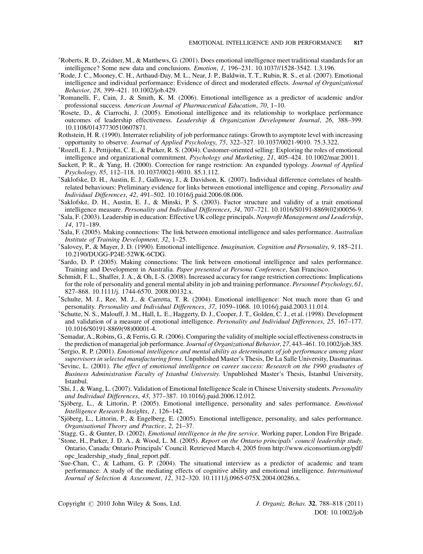- -Roberts, R. D., Zeidner, M., & Matthews, G. (2001). Does emotional intelligence meet traditional standards for an intelligence? Some new data and conclusions. Emotion, 1, 196–231. 10.1037//1528-3542. 1.3.196.
- Rode, J. C., Mooney, C. H., Arthaud-Day, M. L., Near, J. P., Baldwin, T. T., Rubin, R. S., et al. (2007). Emotional intelligence and individual performance: Evidence of direct and moderated effects. Journal of Organizational Behavior, 28, 399–421. 10.1002/job.429.
- Romanelli, F., Cain, J., & Smith, K. M. (2006). Emotional intelligence as a predictor of academic and/or professional success. American Journal of Pharmaceutical Education, 70, 1–10.
- Rosete, D., & Ciarrochi, J. (2005). Emotional intelligence and its relationship to workplace performance outcomes of leadership effectiveness. Leadership & Organization Development Journal, 26, 388–399. 10.1108/01437730510607871.
- Rothstein, H. R. (1990). Interrater reliability of job performance ratings: Growth to asymptote level with increasing opportunity to observe. Journal of Applied Psychology, 75, 322–327. 10.1037/0021-9010. 75.3.322.
- Rozell, E. J., Pettijohn, C. E., & Parker, R. S. (2004). Customer-oriented selling: Exploring the roles of emotional intelligence and organizational commitment. Psychology and Marketing, 21, 405–424. 10.1002/mar.20011.
- Sackett, P. R., & Yang, H. (2000). Correction for range restriction: An expanded typology. Journal of Applied Psychology, 85, 112–118. 10.1037/0021-9010. 85.1.112.
- Saklofske, D. H., Austin, E. J., Galloway, J., & Davidson, K. (2007). Individual difference correlates of healthrelated behaviours: Preliminary evidence for links between emotional intelligence and coping. Personality and Individual Differences, 42, 491–502. 10.1016/j.paid.2006.08.006.
- Saklofske, D. H., Austin, E. J., & Minski, P. S. (2003). Factor structure and validity of a trait emotional intelligence measure. Personality and Individual Differences, 34, 707–721. 10.1016/S0191-8869(02)00056-9.
- \*Sala, F. (2003). Leadership in education: Effective UK college principals. Nonprofit Management and Leadership, 14, 171–189.
- \*Sala, F. (2005). Making connections: The link between emotional intelligence and sales performance. Australian Institute of Training Development, 32, 1–25.
- Salovey, P., & Mayer, J. D. (1990). Emotional intelligence. Imagination, Cognition and Personality, 9, 185–211. 10.2190/DUGG-P24E-52WK-6CDG.
- Sardo, D. P. (2005). Making connections: The link between emotional intelligence and sales performance. Training and Development in Australia. Paper presented at Persona Conference, San Francisco.
- Schmidt, F. L., Shaffer, J. A., & Oh, I.-S. (2008). Increased accuracy for range restriction corrections: Implications for the role of personality and general mental ability in job and training performance. Personnel Psychology, 61, 827–868. 10.1111/j. 1744-6570. 2008.00132.x.
- Schulte, M. J., Ree, M. J., & Carretta, T. R. (2004). Emotional intelligence: Not much more than G and personality. Personality and Individual Differences, 37, 1059–1068. 10.1016/j.paid.2003.11.014.
- Schutte, N. S., Malouff, J. M., Hall, L. E., Haggerty, D. J., Cooper, J. T., Golden, C. J., et al. (1998). Development and validation of a measure of emotional intelligence. Personality and Individual Differences, 25, 167–177. 10.1016/S0191-8869(98)00001-4.
- Semadar, A., Robins, G., & Ferris, G. R. (2006). Comparing the validity of multiple social effectiveness constructs in the prediction of managerial job performance. Journal of Organizational Behavior, 27, 443-461. 10.1002/job.385.
- Sergio, R. P. (2001). Emotional intelligence and mental ability as determinants of job performance among plant supervisors in selected manufacturing firms. Unpublished Master's Thesis, De La Salle University, Dasmarinas.
- Sevinc, L. (2001). The effect of emotional intelligence on career success: Research on the 1990 graduates of Business Administration Faculty of Istanbul University. Unpublished Master's Thesis, Istanbul University, Istanbul.
- \*Shi, J., & Wang, L. (2007). Validation of Emotional Intelligence Scale in Chinese University students. Personality and Individual Differences, 43, 377–387. 10.1016/j.paid.2006.12.012.
- \*Sjöberg, L., & Littorin, P. (2005). Emotional intelligence, personality and sales performance. Emotional Intelligence Research Insights, 1, 126–142.
- \*Sjöberg, L., Littorin, P., & Engelberg, E. (2005). Emotional intelligence, personality, and sales performance. Organisational Theory and Practice, 2, 21–37.
- Stagg, G., & Gunter, D. (2002). Emotional intelligence in the fire service. Working paper, London Fire Brigade.
- Stone, H., Parker, J. D. A., & Wood, L. M. (2005). Report on the Ontario principals' council leadership study. Ontario, Canada: Ontario Principals' Council. Retrieved March 4, 2005 from http://www.eiconsortium.org/pdf/ opc\_leadership\_study\_final\_report.pdf.
- Sue-Chan, C., & Latham, G. P. (2004). The situational interview as a predictor of academic and team performance: A study of the mediating effects of cognitive ability and emotional intelligence. International Journal of Selection & Assessment, 12, 312–320. 10.1111/j.0965-075X.2004.00286.x.